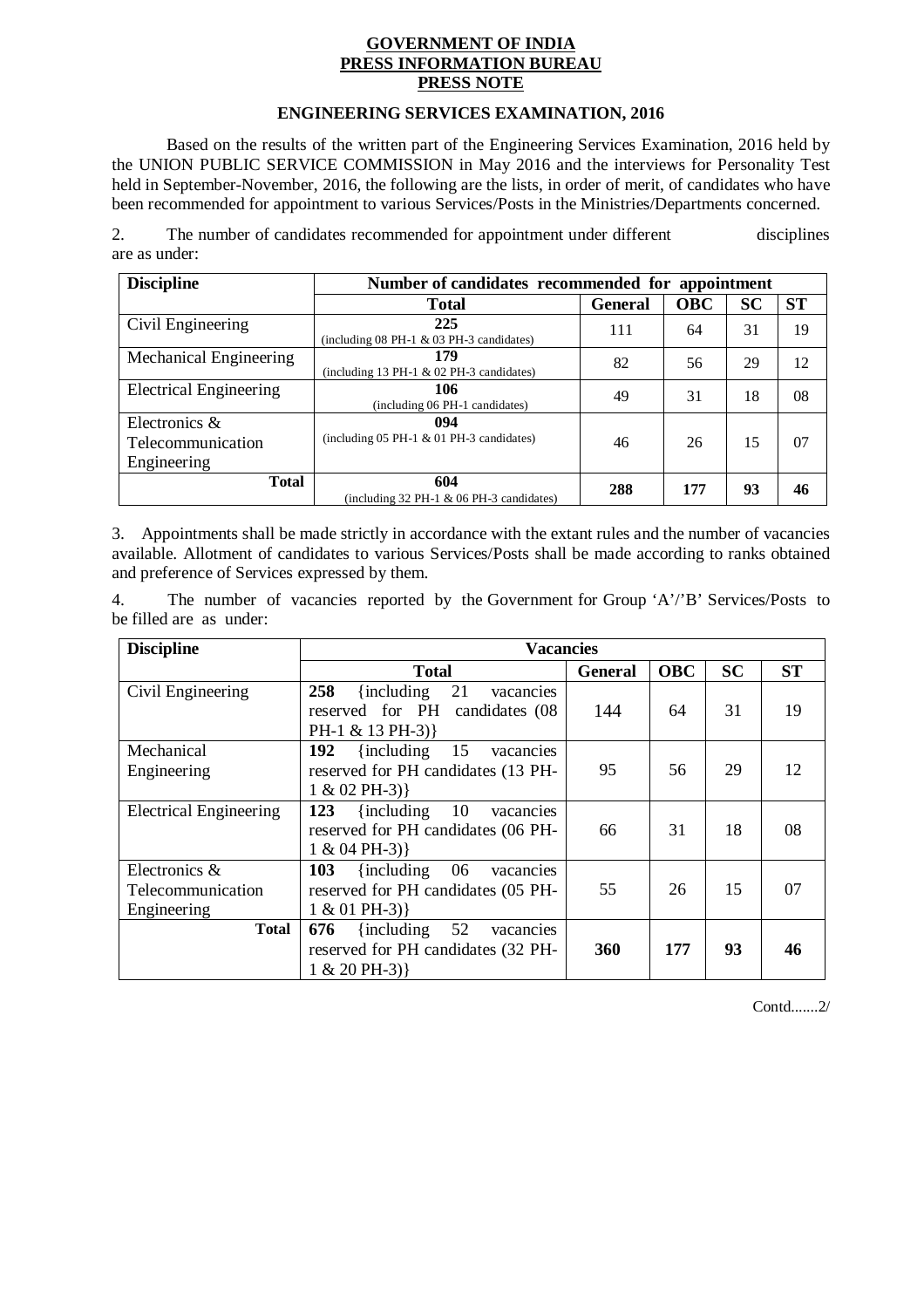## **GOVERNMENT OF INDIA PRESS INFORMATION BUREAU PRESS NOTE**

# **ENGINEERING SERVICES EXAMINATION, 2016**

Based on the results of the written part of the Engineering Services Examination, 2016 held by the UNION PUBLIC SERVICE COMMISSION in May 2016 and the interviews for Personality Test held in September-November, 2016, the following are the lists, in order of merit, of candidates who have been recommended for appointment to various Services/Posts in the Ministries/Departments concerned.

2. The number of candidates recommended for appointment under different disciplines are as under:

| <b>Discipline</b>                                    | Number of candidates recommended for appointment  |                |            |           |           |
|------------------------------------------------------|---------------------------------------------------|----------------|------------|-----------|-----------|
|                                                      | <b>Total</b>                                      | <b>General</b> | <b>OBC</b> | <b>SC</b> | <b>ST</b> |
| Civil Engineering                                    | 225<br>(including $08$ PH-1 & 03 PH-3 candidates) | 111            | 64         | 31        | 19        |
| Mechanical Engineering                               | 179<br>(including 13 PH-1 $&$ 02 PH-3 candidates) | 82             | 56         | 29        | 12        |
| <b>Electrical Engineering</b>                        | 106<br>(including 06 PH-1 candidates)             | 49             | 31         | 18        | 08        |
| Electronics $\&$<br>Telecommunication<br>Engineering | 094<br>(including $05$ PH-1 & 01 PH-3 candidates) | 46             | 26         | 15        | 07        |
| <b>Total</b>                                         | 604<br>(including $32$ PH-1 & 06 PH-3 candidates) | 288            | 177        | 93        | 46        |

3. Appointments shall be made strictly in accordance with the extant rules and the number of vacancies available. Allotment of candidates to various Services/Posts shall be made according to ranks obtained and preference of Services expressed by them.

4. The number of vacancies reported by the Government for Group 'A'/'B' Services/Posts to be filled are as under:

| <b>Discipline</b>                                 | <b>Vacancies</b>                                                                                  |                |            |           |           |
|---------------------------------------------------|---------------------------------------------------------------------------------------------------|----------------|------------|-----------|-----------|
|                                                   | <b>Total</b>                                                                                      | <b>General</b> | <b>OBC</b> | <b>SC</b> | <b>ST</b> |
| Civil Engineering                                 | 258<br>{including}<br>21<br>vacancies<br>reserved for PH<br>candidates (08)<br>PH-1 & 13 PH-3) }  | 144            | 64         | 31        | 19        |
| Mechanical<br>Engineering                         | 192<br>$\{including$<br>15<br>vacancies<br>reserved for PH candidates (13 PH-                     | 95             | 56         | 29        | 12        |
|                                                   | $1 & 02$ PH-3) }                                                                                  |                |            |           |           |
| <b>Electrical Engineering</b>                     | 123<br>{including}<br>10<br>vacancies<br>reserved for PH candidates (06 PH-<br>$1 & 04$ PH-3) }   | 66             | 31         | 18        | 08        |
| Electronics &<br>Telecommunication<br>Engineering | 103<br>$\{including$<br>06<br>vacancies<br>reserved for PH candidates (05 PH-<br>$1 & 01$ PH-3) } | 55             | 26         | 15        | 07        |
| <b>Total</b>                                      | 52<br>676<br>{including}<br>vacancies<br>reserved for PH candidates (32 PH-<br>$1 & 20$ PH-3)     | 360            | 177        | 93        | 46        |

Contd.......2/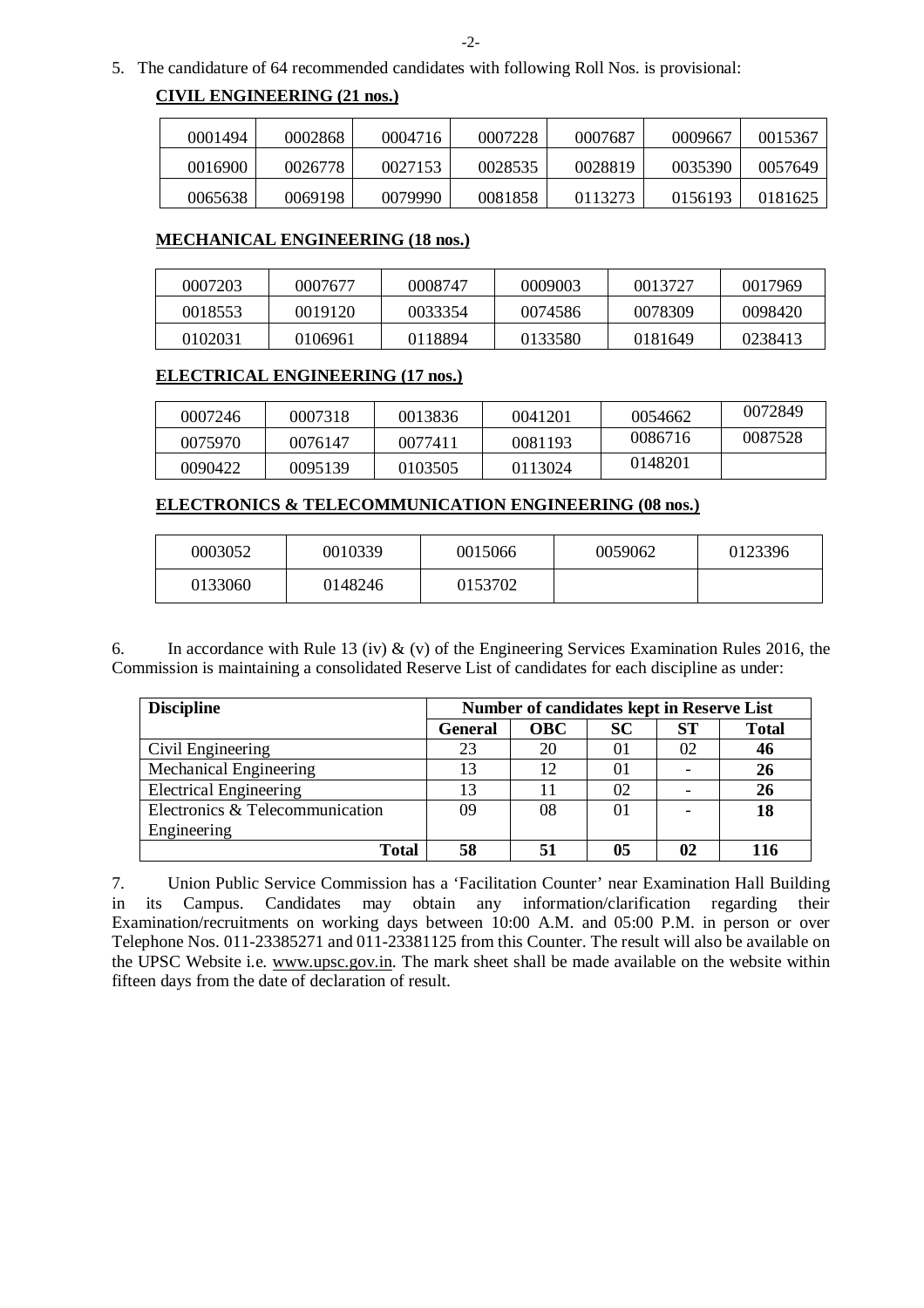5. The candidature of 64 recommended candidates with following Roll Nos. is provisional:

# **CIVIL ENGINEERING (21 nos.)**

| 0001494 | 0002868 | 0004716 | 0007228 | 0007687 | 0009667 | 0015367 |
|---------|---------|---------|---------|---------|---------|---------|
| 0016900 | 0026778 | 0027153 | 0028535 | 0028819 | 0035390 | 0057649 |
| 0065638 | 0069198 | 0079990 | 0081858 | 0113273 | 0156193 | 0181625 |

### **MECHANICAL ENGINEERING (18 nos.)**

| 0007203 | 0007677 | 0008747 | 0009003 | 0013727 | 0017969 |
|---------|---------|---------|---------|---------|---------|
| 0018553 | 0019120 | 0033354 | 0074586 | 0078309 | 0098420 |
| 0102031 | 0106961 | 0118894 | 0133580 | 0181649 | 0238413 |

# **ELECTRICAL ENGINEERING (17 nos.)**

| 0007246 | 0007318 | 0013836 | 0041201 | 0054662 | 0072849 |
|---------|---------|---------|---------|---------|---------|
| 0075970 | 0076147 | 0077411 | 0081193 | 0086716 | 0087528 |
| 0090422 | 0095139 | 0103505 | 0113024 | 0148201 |         |

### **ELECTRONICS & TELECOMMUNICATION ENGINEERING (08 nos.)**

| 0003052 | 0010339 | 0015066 | 0059062 | 0123396 |
|---------|---------|---------|---------|---------|
| 0133060 | 0148246 | 0153702 |         |         |

6. In accordance with Rule 13 (iv)  $\&$  (v) of the Engineering Services Examination Rules 2016, the Commission is maintaining a consolidated Reserve List of candidates for each discipline as under:

| <b>Discipline</b>               |                | <b>Number of candidates kept in Reserve List</b> |           |           |              |
|---------------------------------|----------------|--------------------------------------------------|-----------|-----------|--------------|
|                                 | <b>General</b> | <b>OBC</b>                                       | <b>SC</b> | <b>ST</b> | <b>Total</b> |
| Civil Engineering               | 23             | 20                                               | $_{01}$   | 02        | 46           |
| Mechanical Engineering          | 13             | 12.                                              | 01        |           | 26           |
| <b>Electrical Engineering</b>   | 13             |                                                  | 02        |           | 26           |
| Electronics & Telecommunication | 09             | 08                                               | 01        |           | 18           |
| Engineering                     |                |                                                  |           |           |              |
| <b>Total</b>                    | 58             |                                                  | 05        | 02        |              |

7. Union Public Service Commission has a 'Facilitation Counter' near Examination Hall Building in its Campus. Candidates may obtain any information/clarification regarding their Examination/recruitments on working days between 10:00 A.M. and 05:00 P.M. in person or over Telephone Nos. 011-23385271 and 011-23381125 from this Counter. The result will also be available on the UPSC Website i.e. www.upsc.gov.in. The mark sheet shall be made available on the website within fifteen days from the date of declaration of result.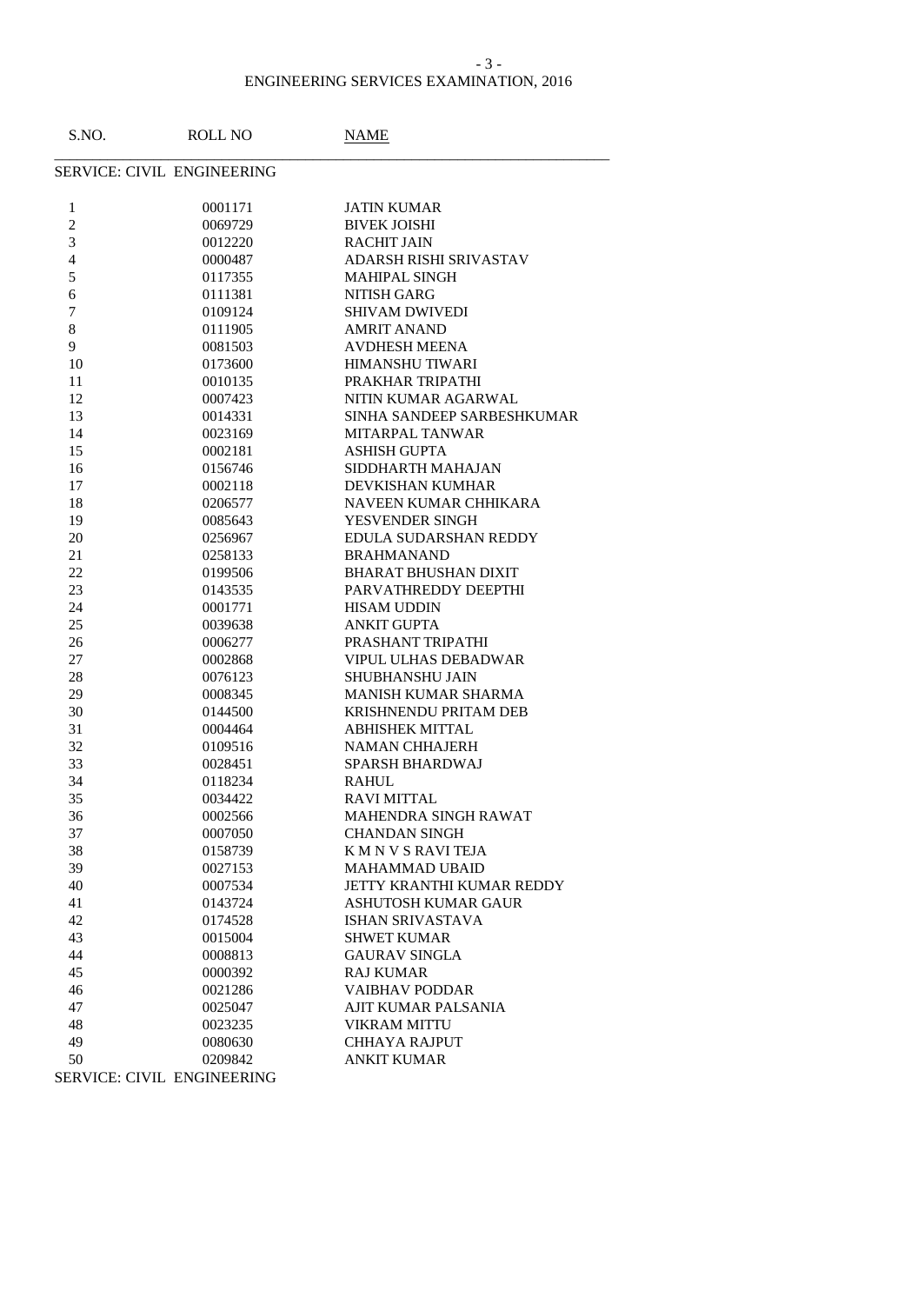### ENGINEERING SERVICES EXAMINATION, 2016 - 3 -

| S.NO.          | <b>ROLL NO</b>             | <b>NAME</b>                  |
|----------------|----------------------------|------------------------------|
|                | SERVICE: CIVIL ENGINEERING |                              |
| $\mathbf{1}$   | 0001171                    | <b>JATIN KUMAR</b>           |
| $\overline{c}$ | 0069729                    | <b>BIVEK JOISHI</b>          |
| 3              | 0012220                    | <b>RACHIT JAIN</b>           |
| 4              | 0000487                    | ADARSH RISHI SRIVASTAV       |
| 5              | 0117355                    | <b>MAHIPAL SINGH</b>         |
| 6              | 0111381                    | <b>NITISH GARG</b>           |
| 7              | 0109124                    | <b>SHIVAM DWIVEDI</b>        |
| 8              | 0111905                    | <b>AMRIT ANAND</b>           |
| 9              | 0081503                    | <b>AVDHESH MEENA</b>         |
| 10             | 0173600                    | HIMANSHU TIWARI              |
| 11             | 0010135                    | PRAKHAR TRIPATHI             |
| 12             | 0007423                    | NITIN KUMAR AGARWAL          |
| 13             | 0014331                    | SINHA SANDEEP SARBESHKUMAR   |
| 14             | 0023169                    | <b>MITARPAL TANWAR</b>       |
| 15             | 0002181                    | <b>ASHISH GUPTA</b>          |
|                |                            | SIDDHARTH MAHAJAN            |
| 16             | 0156746                    | DEVKISHAN KUMHAR             |
| 17             | 0002118                    |                              |
| 18             | 0206577                    | NAVEEN KUMAR CHHIKARA        |
| 19             | 0085643                    | YESVENDER SINGH              |
| 20             | 0256967                    | EDULA SUDARSHAN REDDY        |
| 21             | 0258133                    | <b>BRAHMANAND</b>            |
| 22             | 0199506                    | <b>BHARAT BHUSHAN DIXIT</b>  |
| 23             | 0143535                    | PARVATHREDDY DEEPTHI         |
| 24             | 0001771                    | <b>HISAM UDDIN</b>           |
| 25             | 0039638                    | <b>ANKIT GUPTA</b>           |
| 26             | 0006277                    | PRASHANT TRIPATHI            |
| 27             | 0002868                    | <b>VIPUL ULHAS DEBADWAR</b>  |
| 28             | 0076123                    | SHUBHANSHU JAIN              |
| 29             | 0008345                    | MANISH KUMAR SHARMA          |
| 30             | 0144500                    | <b>KRISHNENDU PRITAM DEB</b> |
| 31             | 0004464                    | <b>ABHISHEK MITTAL</b>       |
| 32             | 0109516                    | <b>NAMAN CHHAJERH</b>        |
| 33             | 0028451                    | <b>SPARSH BHARDWAJ</b>       |
| 34             | 0118234                    | <b>RAHUL</b>                 |
| 35             | 0034422                    | <b>RAVI MITTAL</b>           |
| 36             | 0002566                    | <b>MAHENDRA SINGH RAWAT</b>  |
| 37             | 0007050                    | <b>CHANDAN SINGH</b>         |
| 38             | 0158739                    | K M N V S RAVI TEJA          |
| 39             | 0027153                    | <b>MAHAMMAD UBAID</b>        |
| 40             | 0007534                    | JETTY KRANTHI KUMAR REDDY    |
| 41             | 0143724                    | <b>ASHUTOSH KUMAR GAUR</b>   |
| 42             | 0174528                    | <b>ISHAN SRIVASTAVA</b>      |
| 43             | 0015004                    | <b>SHWET KUMAR</b>           |
| 44             | 0008813                    | <b>GAURAV SINGLA</b>         |
| 45             | 0000392                    | <b>RAJ KUMAR</b>             |
| 46             | 0021286                    | <b>VAIBHAV PODDAR</b>        |
| 47             | 0025047                    | AJIT KUMAR PALSANIA          |
| 48             | 0023235                    | <b>VIKRAM MITTU</b>          |
| 49             | 0080630                    | <b>CHHAYA RAJPUT</b>         |
| 50             | 0209842                    | <b>ANKIT KUMAR</b>           |
|                | SERVICE: CIVIL ENGINEERING |                              |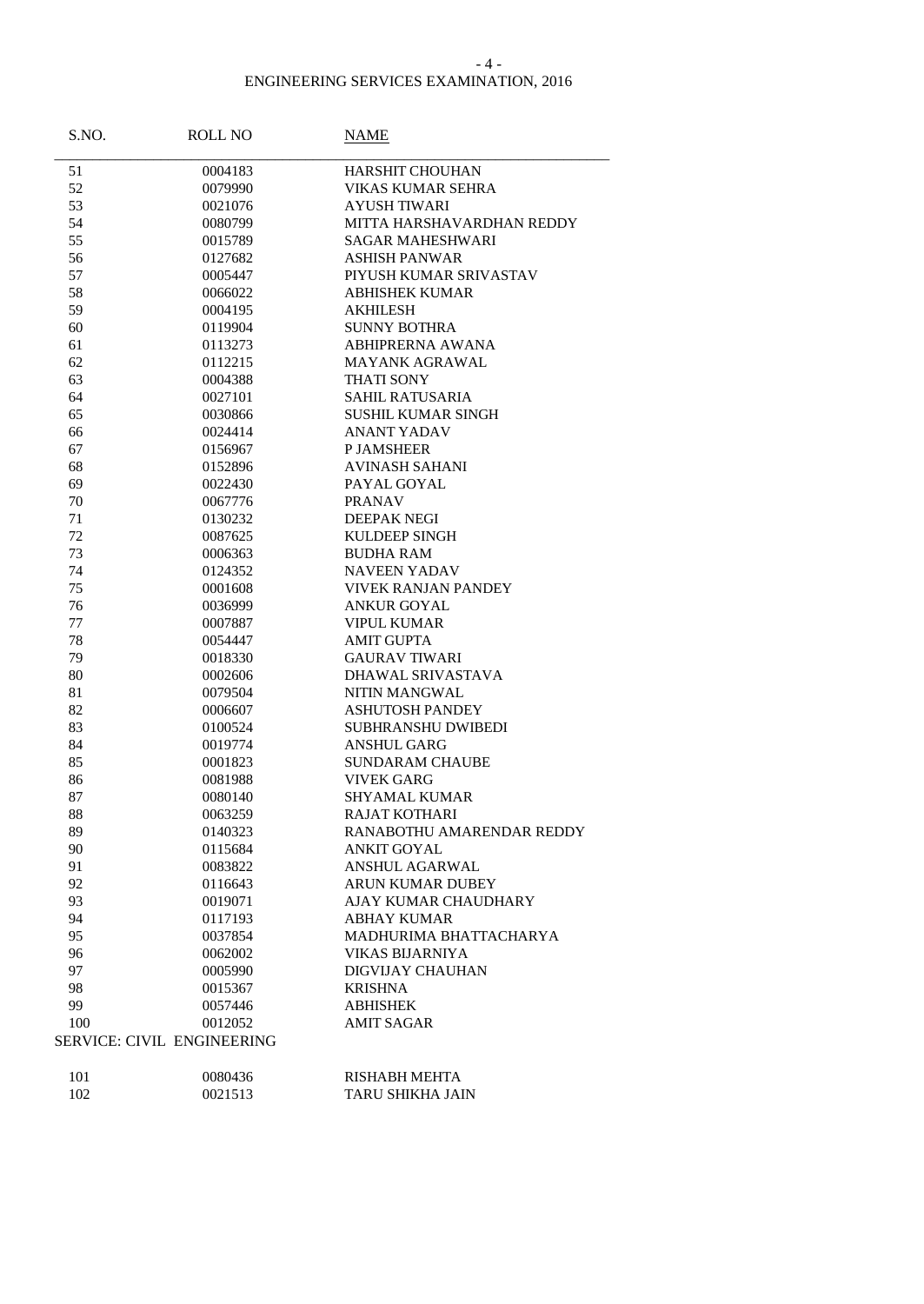### - 4 -

| S.NO. | <b>ROLL NO</b>                    | NAME                       |
|-------|-----------------------------------|----------------------------|
| 51    | 0004183                           | <b>HARSHIT CHOUHAN</b>     |
| 52    | 0079990                           | <b>VIKAS KUMAR SEHRA</b>   |
| 53    | 0021076                           | <b>AYUSH TIWARI</b>        |
| 54    | 0080799                           | MITTA HARSHAVARDHAN REDDY  |
| 55    | 0015789                           | <b>SAGAR MAHESHWARI</b>    |
| 56    | 0127682                           | <b>ASHISH PANWAR</b>       |
| 57    | 0005447                           | PIYUSH KUMAR SRIVASTAV     |
| 58    | 0066022                           | <b>ABHISHEK KUMAR</b>      |
| 59    | 0004195                           | <b>AKHILESH</b>            |
| 60    | 0119904                           | <b>SUNNY BOTHRA</b>        |
| 61    | 0113273                           | <b>ABHIPRERNA AWANA</b>    |
| 62    | 0112215                           | <b>MAYANK AGRAWAL</b>      |
| 63    | 0004388                           | <b>THATI SONY</b>          |
| 64    | 0027101                           | <b>SAHIL RATUSARIA</b>     |
| 65    | 0030866                           | SUSHIL KUMAR SINGH         |
| 66    | 0024414                           | <b>ANANT YADAV</b>         |
| 67    | 0156967                           | <b>P JAMSHEER</b>          |
| 68    | 0152896                           | <b>AVINASH SAHANI</b>      |
| 69    | 0022430                           | PAYAL GOYAL                |
|       | 0067776                           |                            |
| 70    | 0130232                           | <b>PRANAV</b>              |
| 71    |                                   | <b>DEEPAK NEGI</b>         |
| 72    | 0087625                           | KULDEEP SINGH              |
| 73    | 0006363                           | <b>BUDHA RAM</b>           |
| 74    | 0124352                           | <b>NAVEEN YADAV</b>        |
| 75    | 0001608                           | <b>VIVEK RANJAN PANDEY</b> |
| 76    | 0036999                           | <b>ANKUR GOYAL</b>         |
| 77    | 0007887                           | <b>VIPUL KUMAR</b>         |
| 78    | 0054447                           | <b>AMIT GUPTA</b>          |
| 79    | 0018330                           | <b>GAURAV TIWARI</b>       |
| 80    | 0002606                           | DHAWAL SRIVASTAVA          |
| 81    | 0079504                           | NITIN MANGWAL              |
| 82    | 0006607                           | <b>ASHUTOSH PANDEY</b>     |
| 83    | 0100524                           | SUBHRANSHU DWIBEDI         |
| 84    | 0019774                           | <b>ANSHUL GARG</b>         |
| 85    | 0001823                           | <b>SUNDARAM CHAUBE</b>     |
| 86    | 0081988                           | <b>VIVEK GARG</b>          |
| 87    | 0080140                           | <b>SHYAMAL KUMAR</b>       |
| 88    | 0063259                           | <b>RAJAT KOTHARI</b>       |
| 89    | 0140323                           | RANABOTHU AMARENDAR REDDY  |
| 90    | 0115684                           | <b>ANKIT GOYAL</b>         |
| 91    | 0083822                           | <b>ANSHUL AGARWAL</b>      |
| 92    | 0116643                           | ARUN KUMAR DUBEY           |
| 93    | 0019071                           | AJAY KUMAR CHAUDHARY       |
| 94    | 0117193                           | ABHAY KUMAR                |
| 95    | 0037854                           | MADHURIMA BHATTACHARYA     |
| 96    | 0062002                           | <b>VIKAS BIJARNIYA</b>     |
| 97    | 0005990                           | <b>DIGVIJAY CHAUHAN</b>    |
| 98    | 0015367                           | <b>KRISHNA</b>             |
| 99    | 0057446                           | <b>ABHISHEK</b>            |
| 100   | 0012052                           | AMIT SAGAR                 |
|       | <b>SERVICE: CIVIL ENGINEERING</b> |                            |
|       |                                   |                            |
| 101   | 0080436                           | RISHABH MEHTA              |
|       |                                   |                            |

| - - - | .       | .                |
|-------|---------|------------------|
| 102   | 0021513 | TARU SHIKHA JAIN |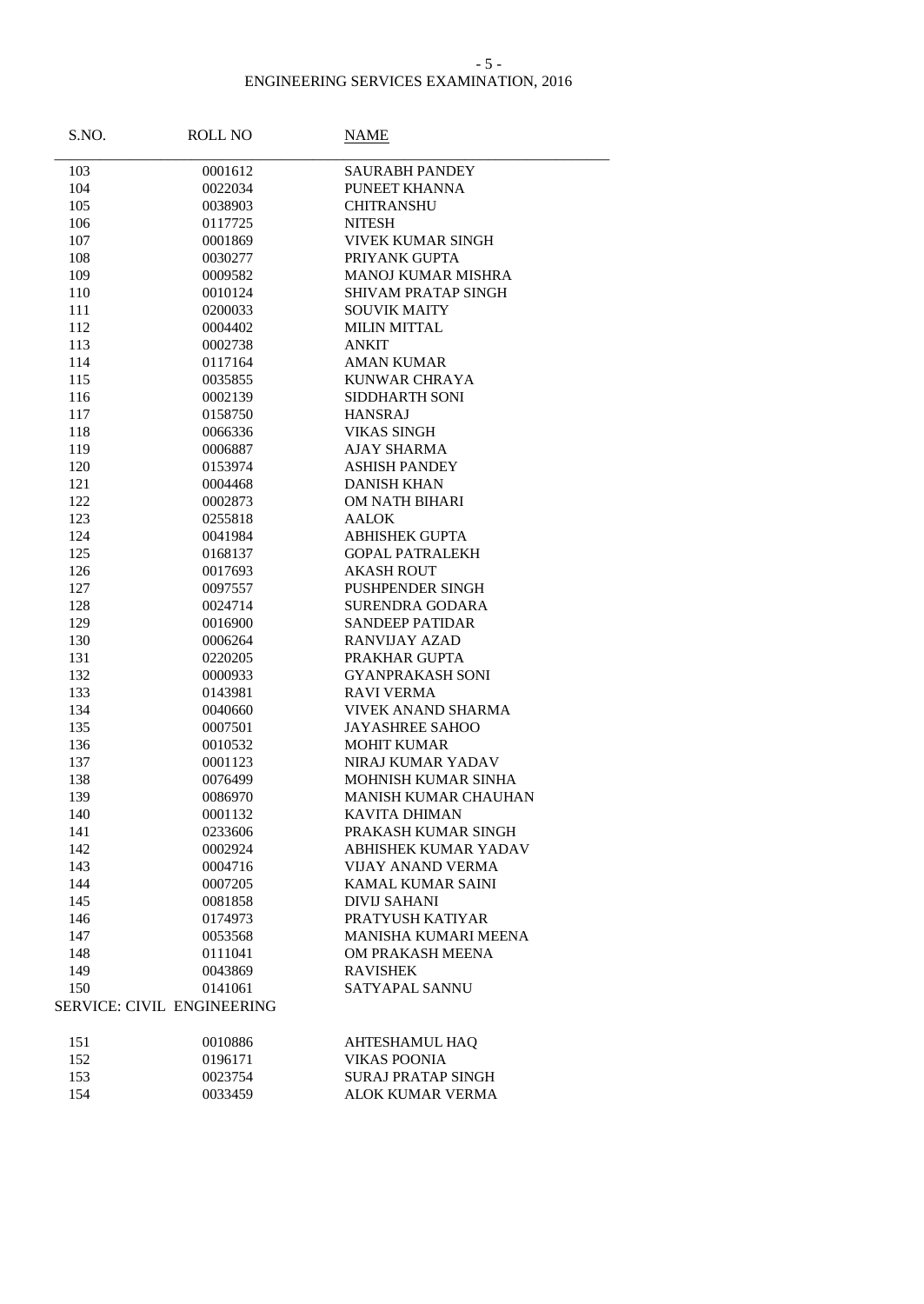#### - 5 -

| S.NO.      | ROLL NO                           | <b>NAME</b>                              |
|------------|-----------------------------------|------------------------------------------|
| 103        | 0001612                           | <b>SAURABH PANDEY</b>                    |
| 104        | 0022034                           | PUNEET KHANNA                            |
| 105        | 0038903                           | <b>CHITRANSHU</b>                        |
| 106        | 0117725                           | <b>NITESH</b>                            |
| 107        | 0001869                           | VIVEK KUMAR SINGH                        |
| 108        | 0030277                           | PRIYANK GUPTA                            |
| 109        | 0009582                           | <b>MANOJ KUMAR MISHRA</b>                |
| 110        | 0010124                           | <b>SHIVAM PRATAP SINGH</b>               |
| 111        | 0200033                           | <b>SOUVIK MAITY</b>                      |
| 112        | 0004402                           | <b>MILIN MITTAL</b>                      |
| 113        | 0002738                           | <b>ANKIT</b>                             |
| 114        | 0117164                           | <b>AMAN KUMAR</b>                        |
| 115        | 0035855                           | <b>KUNWAR CHRAYA</b>                     |
| 116        | 0002139                           | SIDDHARTH SONI                           |
| 117        | 0158750                           | <b>HANSRAJ</b>                           |
| 118        | 0066336                           | <b>VIKAS SINGH</b>                       |
| 119        | 0006887                           | <b>AJAY SHARMA</b>                       |
| 120        | 0153974                           | <b>ASHISH PANDEY</b>                     |
| 121        | 0004468                           | <b>DANISH KHAN</b>                       |
| 122        | 0002873                           | OM NATH BIHARI                           |
| 123        | 0255818                           | <b>AALOK</b>                             |
| 124        | 0041984                           | <b>ABHISHEK GUPTA</b>                    |
| 125        | 0168137                           | <b>GOPAL PATRALEKH</b>                   |
| 126        | 0017693                           | <b>AKASH ROUT</b>                        |
| 127        | 0097557                           | PUSHPENDER SINGH                         |
| 128        | 0024714                           | <b>SURENDRA GODARA</b>                   |
| 129        | 0016900                           | <b>SANDEEP PATIDAR</b>                   |
| 130        | 0006264                           | <b>RANVIJAY AZAD</b>                     |
| 131        | 0220205                           | PRAKHAR GUPTA                            |
| 132        | 0000933                           | <b>GYANPRAKASH SONI</b>                  |
| 133        | 0143981                           | <b>RAVI VERMA</b>                        |
| 134        | 0040660                           | VIVEK ANAND SHARMA                       |
| 135        | 0007501                           | <b>JAYASHREE SAHOO</b>                   |
| 136        | 0010532                           | <b>MOHIT KUMAR</b>                       |
| 137<br>138 | 0001123                           | NIRAJ KUMAR YADAV<br>MOHNISH KUMAR SINHA |
| 139        | 0076499<br>0086970                | MANISH KUMAR CHAUHAN                     |
| 140        | 0001132                           | <b>KAVITA DHIMAN</b>                     |
| 141        | 0233606                           | PRAKASH KUMAR SINGH                      |
| 142        | 0002924                           | <b>ABHISHEK KUMAR YADAV</b>              |
| 143        | 0004716                           | VIJAY ANAND VERMA                        |
| 144        | 0007205                           | KAMAL KUMAR SAINI                        |
| 145        | 0081858                           | <b>DIVIJ SAHANI</b>                      |
| 146        | 0174973                           | PRATYUSH KATIYAR                         |
| 147        | 0053568                           | MANISHA KUMARI MEENA                     |
| 148        | 0111041                           | OM PRAKASH MEENA                         |
| 149        | 0043869                           | <b>RAVISHEK</b>                          |
| 150        | 0141061                           | SATYAPAL SANNU                           |
|            | <b>SERVICE: CIVIL ENGINEERING</b> |                                          |
| 151        | 0010886                           | <b>AHTESHAMUL HAQ</b>                    |
| 152        | 0196171                           | <b>VIKAS POONIA</b>                      |
| 153        | 0023754                           | SURAJ PRATAP SINGH                       |
| 154        | 0033459                           | <b>ALOK KUMAR VERMA</b>                  |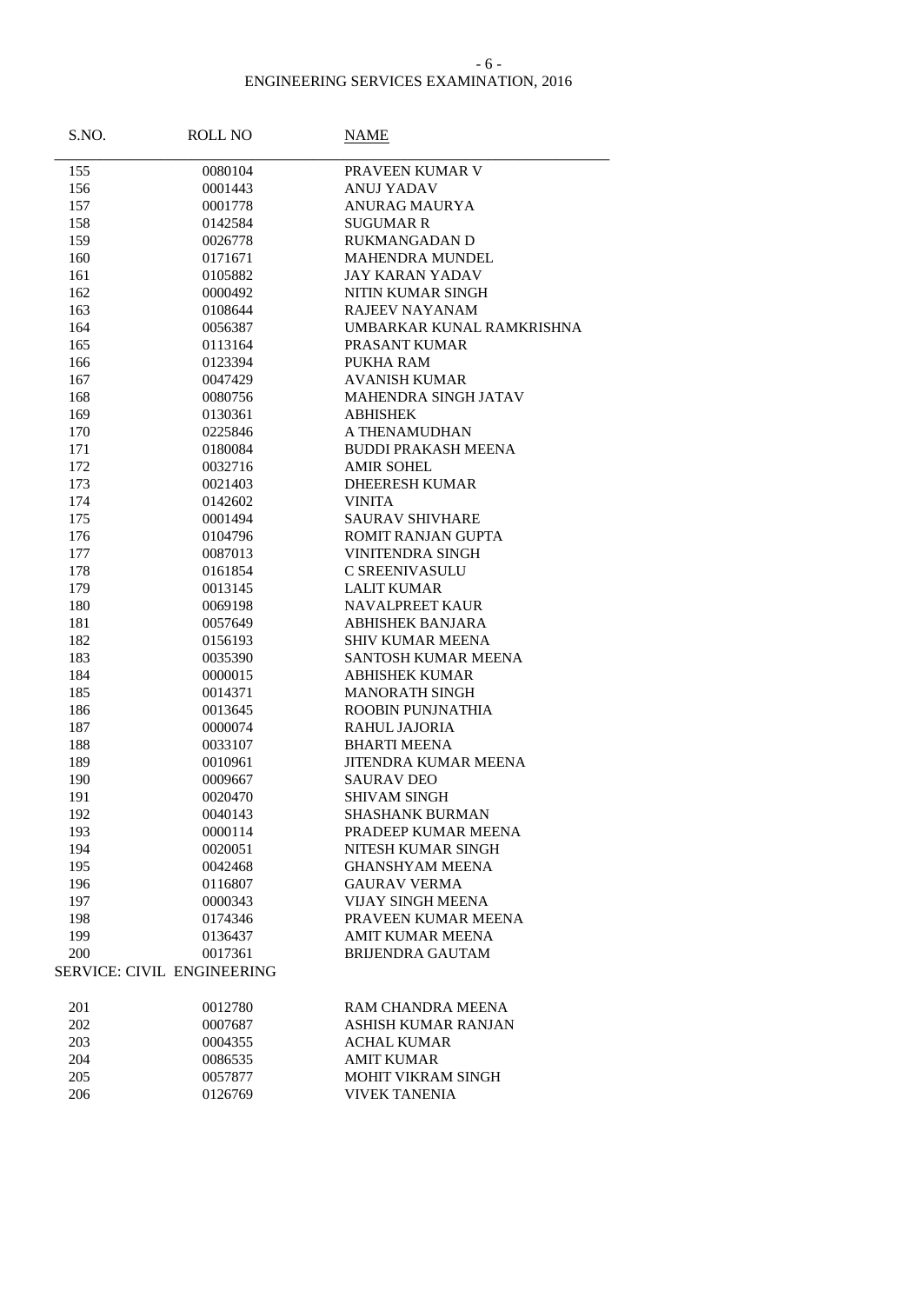### - 6 -

| S.NO. | ROLL NO                           | <b>NAME</b>                 |
|-------|-----------------------------------|-----------------------------|
| 155   | 0080104                           | PRAVEEN KUMAR V             |
| 156   | 0001443                           | <b>ANUJ YADAV</b>           |
| 157   | 0001778                           | ANURAG MAURYA               |
| 158   | 0142584                           | <b>SUGUMAR R</b>            |
| 159   | 0026778                           | RUKMANGADAN D               |
| 160   | 0171671                           | MAHENDRA MUNDEL             |
| 161   | 0105882                           | <b>JAY KARAN YADAV</b>      |
| 162   | 0000492                           | NITIN KUMAR SINGH           |
| 163   | 0108644                           | <b>RAJEEV NAYANAM</b>       |
| 164   | 0056387                           | UMBARKAR KUNAL RAMKRISHNA   |
| 165   | 0113164                           | PRASANT KUMAR               |
| 166   | 0123394                           | PUKHA RAM                   |
| 167   | 0047429                           | <b>AVANISH KUMAR</b>        |
| 168   | 0080756                           | MAHENDRA SINGH JATAV        |
| 169   | 0130361                           | <b>ABHISHEK</b>             |
| 170   | 0225846                           | A THENAMUDHAN               |
| 171   | 0180084                           | <b>BUDDI PRAKASH MEENA</b>  |
| 172   | 0032716                           | <b>AMIR SOHEL</b>           |
| 173   | 0021403                           | <b>DHEERESH KUMAR</b>       |
| 174   | 0142602                           | <b>VINITA</b>               |
| 175   | 0001494                           | <b>SAURAV SHIVHARE</b>      |
| 176   | 0104796                           | ROMIT RANJAN GUPTA          |
| 177   | 0087013                           | <b>VINITENDRA SINGH</b>     |
| 178   | 0161854                           | <b>C SREENIVASULU</b>       |
| 179   | 0013145                           | <b>LALIT KUMAR</b>          |
| 180   | 0069198                           | <b>NAVALPREET KAUR</b>      |
| 181   | 0057649                           | <b>ABHISHEK BANJARA</b>     |
| 182   | 0156193                           | SHIV KUMAR MEENA            |
| 183   | 0035390                           | SANTOSH KUMAR MEENA         |
| 184   | 0000015                           | <b>ABHISHEK KUMAR</b>       |
| 185   | 0014371                           | <b>MANORATH SINGH</b>       |
| 186   | 0013645                           | ROOBIN PUNJNATHIA           |
| 187   | 0000074                           | <b>RAHUL JAJORIA</b>        |
| 188   | 0033107                           | <b>BHARTI MEENA</b>         |
| 189   | 0010961                           | <b>JITENDRA KUMAR MEENA</b> |
| 190   | 0009667                           | SAURAV DEO                  |
| 191   | 0020470                           | <b>SHIVAM SINGH</b>         |
| 192   | 0040143                           | <b>SHASHANK BURMAN</b>      |
| 193   | 0000114                           | PRADEEP KUMAR MEENA         |
| 194   | 0020051                           | NITESH KUMAR SINGH          |
| 195   | 0042468                           | <b>GHANSHYAM MEENA</b>      |
| 196   | 0116807                           | <b>GAURAV VERMA</b>         |
| 197   | 0000343                           | <b>VIJAY SINGH MEENA</b>    |
| 198   | 0174346                           | PRAVEEN KUMAR MEENA         |
| 199   | 0136437                           | <b>AMIT KUMAR MEENA</b>     |
| 200   | 0017361                           | <b>BRUENDRA GAUTAM</b>      |
|       | <b>SERVICE: CIVIL ENGINEERING</b> |                             |
| 201   | 0012780                           | RAM CHANDRA MEENA           |
| 202   | 0007687                           | ASHISH KUMAR RANJAN         |
| 203   | 0004355                           | <b>ACHAL KUMAR</b>          |
| 204   | 0086535                           | <b>AMIT KUMAR</b>           |
| 205   | 0057877                           | MOHIT VIKRAM SINGH          |
| 206   | 0126769                           | <b>VIVEK TANENIA</b>        |
|       |                                   |                             |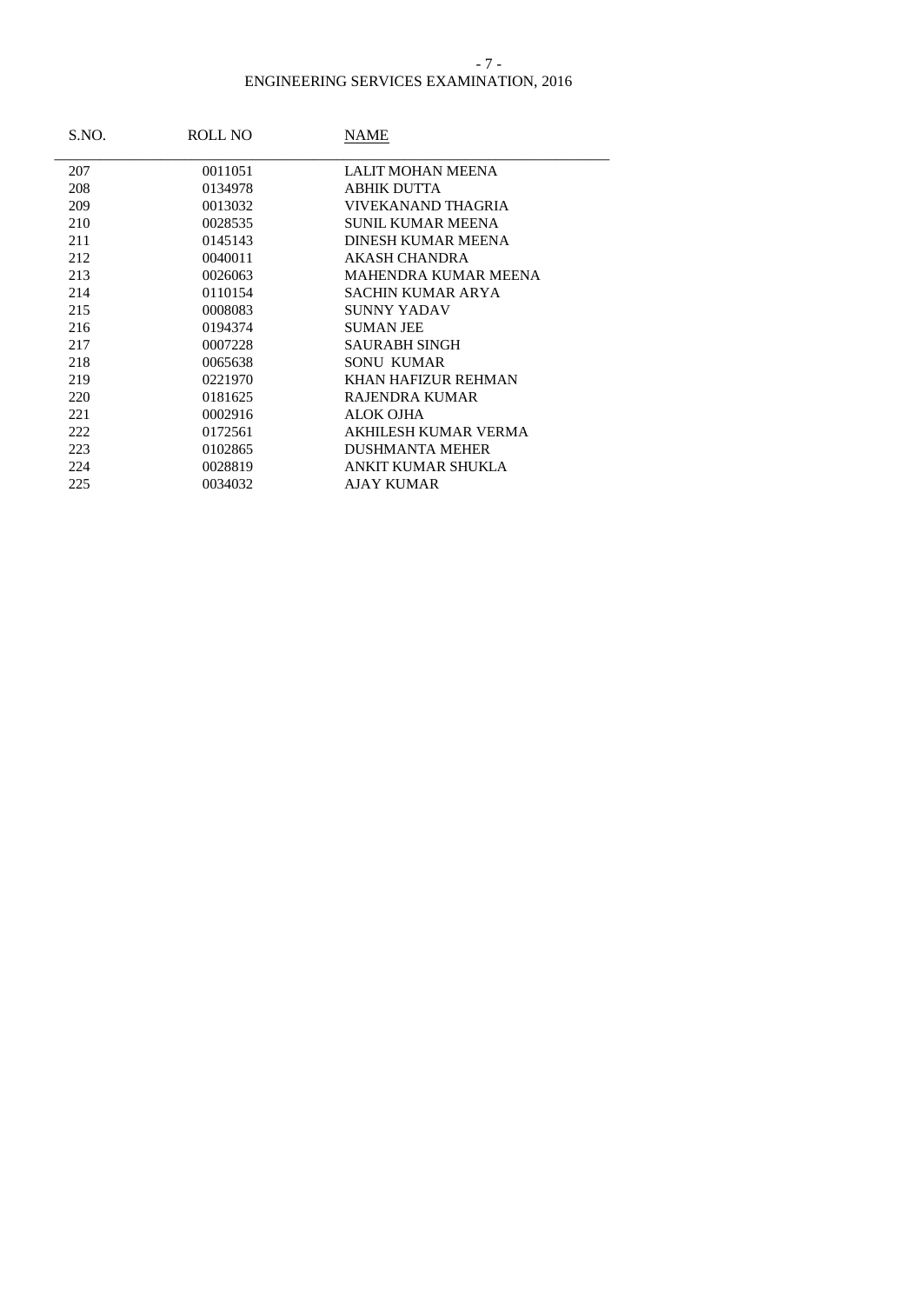#### - 7 -

| S.NO. | ROLL NO | NAME                     |
|-------|---------|--------------------------|
| 207   | 0011051 | LALIT MOHAN MEENA        |
| 208   | 0134978 | ABHIK DUTTA              |
| 209   | 0013032 | VIVEKANAND THAGRIA       |
| 210   | 0028535 | <b>SUNIL KUMAR MEENA</b> |
| 211   | 0145143 | DINESH KUMAR MEENA       |
| 212   | 0040011 | AKASH CHANDRA            |
| 213   | 0026063 | MAHENDRA KUMAR MEENA     |
| 214   | 0110154 | <b>SACHIN KUMAR ARYA</b> |
| 215   | 0008083 | SUNNY YADAV              |
| 216   | 0194374 | <b>SUMAN JEE</b>         |
| 217   | 0007228 | SAURABH SINGH            |
| 218   | 0065638 | <b>SONU KUMAR</b>        |
| 219   | 0221970 | KHAN HAFIZUR REHMAN      |
| 220   | 0181625 | RAJENDRA KUMAR           |
| 221   | 0002916 | <b>ALOK OJHA</b>         |
| 222   | 0172561 | AKHILESH KUMAR VERMA     |
| 223   | 0102865 | <b>DUSHMANTA MEHER</b>   |
| 224   | 0028819 | ANKIT KUMAR SHUKLA       |
| 225   | 0034032 | <b>AJAY KUMAR</b>        |
|       |         |                          |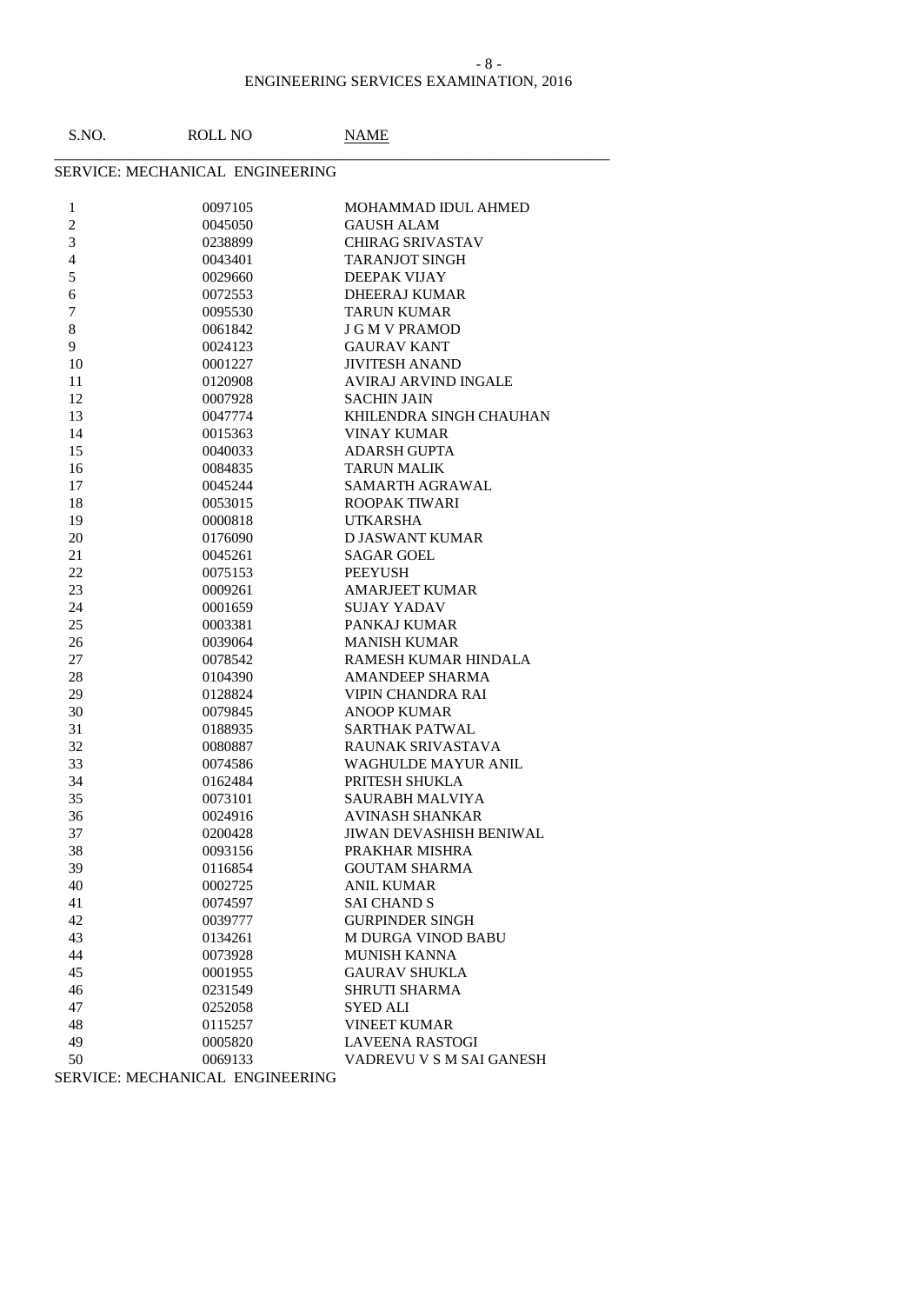### ENGINEERING SERVICES EXAMINATION, 2016 - 8 -

| S.NO.                   | ROLL NO                         | NAME                           |
|-------------------------|---------------------------------|--------------------------------|
|                         | SERVICE: MECHANICAL ENGINEERING |                                |
| 1                       | 0097105                         | MOHAMMAD IDUL AHMED            |
| $\overline{c}$          | 0045050                         | <b>GAUSH ALAM</b>              |
| $\overline{\mathbf{3}}$ | 0238899                         | <b>CHIRAG SRIVASTAV</b>        |
| $\overline{4}$          | 0043401                         | <b>TARANJOT SINGH</b>          |
| 5                       | 0029660                         | DEEPAK VIJAY                   |
| 6                       | 0072553                         | <b>DHEERAJ KUMAR</b>           |
| $\boldsymbol{7}$        | 0095530                         | <b>TARUN KUMAR</b>             |
| 8                       | 0061842                         | <b>J G M V PRAMOD</b>          |
| 9                       | 0024123                         | <b>GAURAV KANT</b>             |
| 10                      | 0001227                         | <b>JIVITESH ANAND</b>          |
| 11                      | 0120908                         | AVIRAJ ARVIND INGALE           |
| 12                      | 0007928                         | <b>SACHIN JAIN</b>             |
| 13                      | 0047774                         | KHILENDRA SINGH CHAUHAN        |
| 14                      | 0015363                         | <b>VINAY KUMAR</b>             |
| 15                      | 0040033                         | <b>ADARSH GUPTA</b>            |
| 16                      | 0084835                         | <b>TARUN MALIK</b>             |
| 17                      | 0045244                         | SAMARTH AGRAWAL                |
| 18                      | 0053015                         | ROOPAK TIWARI                  |
| 19                      | 0000818                         | UTKARSHA                       |
| 20                      | 0176090                         | <b>DJASWANT KUMAR</b>          |
| 21                      | 0045261                         | <b>SAGAR GOEL</b>              |
| 22                      | 0075153                         | <b>PEEYUSH</b>                 |
| 23                      | 0009261                         | <b>AMARJEET KUMAR</b>          |
| 24                      | 0001659                         | <b>SUJAY YADAV</b>             |
| 25                      | 0003381                         | PANKAJ KUMAR                   |
| 26                      | 0039064                         | <b>MANISH KUMAR</b>            |
| 27                      | 0078542                         | RAMESH KUMAR HINDALA           |
| 28                      | 0104390                         | <b>AMANDEEP SHARMA</b>         |
| 29                      | 0128824                         | VIPIN CHANDRA RAI              |
| 30                      | 0079845                         | <b>ANOOP KUMAR</b>             |
| 31                      | 0188935                         | <b>SARTHAK PATWAL</b>          |
| 32                      | 0080887                         | RAUNAK SRIVASTAVA              |
| 33                      | 0074586                         | WAGHULDE MAYUR ANIL            |
| 34                      | 0162484                         | PRITESH SHUKLA                 |
| 35                      | 0073101                         | SAURABH MALVIYA                |
| 36                      | 0024916                         | AVINASH SHANKAR                |
| 37                      | 0200428                         | <b>JIWAN DEVASHISH BENIWAL</b> |
| 38                      | 0093156                         | PRAKHAR MISHRA                 |
| 39                      | 0116854                         | <b>GOUTAM SHARMA</b>           |
| 40                      | 0002725                         | <b>ANIL KUMAR</b>              |
| 41                      | 0074597                         | <b>SAI CHAND S</b>             |
| 42                      | 0039777                         | <b>GURPINDER SINGH</b>         |
| 43                      | 0134261                         | <b>M DURGA VINOD BABU</b>      |
| 44                      | 0073928                         | <b>MUNISH KANNA</b>            |
| 45                      | 0001955                         | <b>GAURAV SHUKLA</b>           |
| 46                      | 0231549                         | <b>SHRUTI SHARMA</b>           |
| 47                      | 0252058                         | <b>SYED ALI</b>                |
| 48                      | 0115257                         | <b>VINEET KUMAR</b>            |
| 49                      | 0005820                         | <b>LAVEENA RASTOGI</b>         |
| 50                      | 0069133                         | VADREVU V S M SAI GANESH       |
|                         | SERVICE MECHANICAL ENGINEERING  |                                |

SERVICE: MECHANICAL ENGINEERING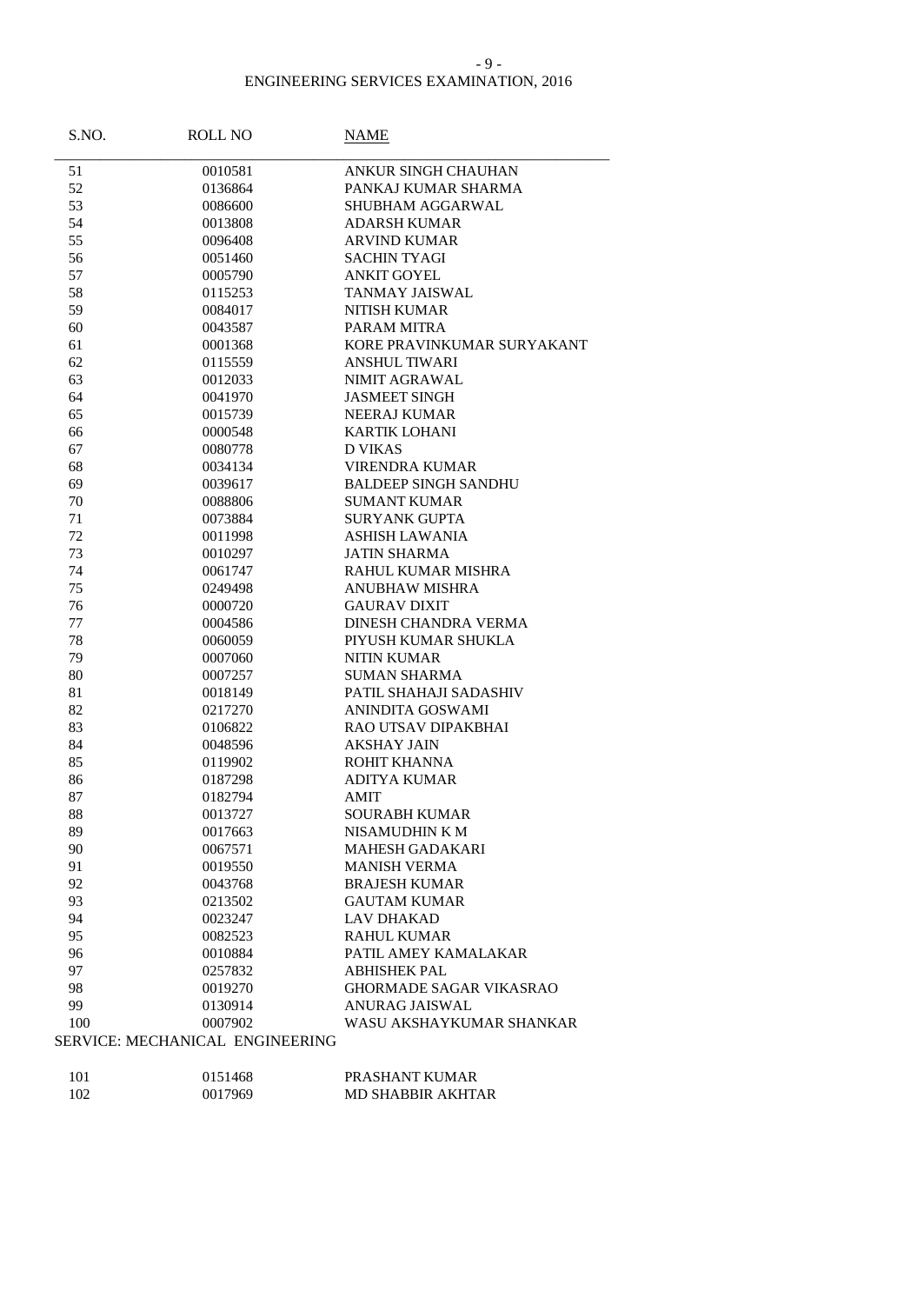#### - 9 -

| S.NO. | <b>ROLL NO</b>                  | NAME                        |
|-------|---------------------------------|-----------------------------|
| 51    | 0010581                         | ANKUR SINGH CHAUHAN         |
| 52    | 0136864                         | PANKAJ KUMAR SHARMA         |
| 53    | 0086600                         | SHUBHAM AGGARWAL            |
| 54    | 0013808                         | <b>ADARSH KUMAR</b>         |
| 55    | 0096408                         | <b>ARVIND KUMAR</b>         |
| 56    | 0051460                         | <b>SACHIN TYAGI</b>         |
| 57    | 0005790                         | <b>ANKIT GOYEL</b>          |
| 58    | 0115253                         | TANMAY JAISWAL              |
| 59    | 0084017                         | <b>NITISH KUMAR</b>         |
| 60    | 0043587                         | PARAM MITRA                 |
| 61    | 0001368                         | KORE PRAVINKUMAR SURYAKANT  |
| 62    | 0115559                         | <b>ANSHUL TIWARI</b>        |
| 63    | 0012033                         | <b>NIMIT AGRAWAL</b>        |
| 64    | 0041970                         | <b>JASMEET SINGH</b>        |
| 65    | 0015739                         | <b>NEERAJ KUMAR</b>         |
| 66    | 0000548                         | <b>KARTIK LOHANI</b>        |
| 67    | 0080778                         | <b>D VIKAS</b>              |
| 68    | 0034134                         | <b>VIRENDRA KUMAR</b>       |
| 69    | 0039617                         | <b>BALDEEP SINGH SANDHU</b> |
| 70    | 0088806                         | <b>SUMANT KUMAR</b>         |
| 71    | 0073884                         | <b>SURYANK GUPTA</b>        |
| 72    | 0011998                         | <b>ASHISH LAWANIA</b>       |
| 73    | 0010297                         | <b>JATIN SHARMA</b>         |
| 74    | 0061747                         | RAHUL KUMAR MISHRA          |
| 75    | 0249498                         | <b>ANUBHAW MISHRA</b>       |
| 76    | 0000720                         | <b>GAURAV DIXIT</b>         |
| 77    | 0004586                         | <b>DINESH CHANDRA VERMA</b> |
| 78    | 0060059                         | PIYUSH KUMAR SHUKLA         |
| 79    | 0007060                         | <b>NITIN KUMAR</b>          |
| 80    | 0007257                         | <b>SUMAN SHARMA</b>         |
| 81    | 0018149                         | PATIL SHAHAJI SADASHIV      |
| 82    | 0217270                         | ANINDITA GOSWAMI            |
| 83    | 0106822                         | RAO UTSAV DIPAKBHAI         |
| 84    | 0048596                         | <b>AKSHAY JAIN</b>          |
| 85    | 0119902                         | ROHIT KHANNA                |
| 86    | 0187298                         | <b>ADITYA KUMAR</b>         |
| 87    | 0182794                         | <b>AMIT</b>                 |
| 88    | 0013727                         | <b>SOURABH KUMAR</b>        |
| 89    | 0017663                         | NISAMUDHIN K M              |
| 90    | 0067571                         | <b>MAHESH GADAKARI</b>      |
| 91    | 0019550                         | <b>MANISH VERMA</b>         |
| 92    | 0043768                         | <b>BRAJESH KUMAR</b>        |
| 93    | 0213502                         | <b>GAUTAM KUMAR</b>         |
| 94    | 0023247                         | <b>LAV DHAKAD</b>           |
| 95    | 0082523                         | <b>RAHUL KUMAR</b>          |
| 96    | 0010884                         | PATIL AMEY KAMALAKAR        |
| 97    | 0257832                         | <b>ABHISHEK PAL</b>         |
| 98    | 0019270                         | GHORMADE SAGAR VIKASRAO     |
| 99    | 0130914                         | ANURAG JAISWAL              |
| 100   | 0007902                         | WASU AKSHAYKUMAR SHANKAR    |
|       | SERVICE: MECHANICAL ENGINEERING |                             |
|       |                                 |                             |
|       |                                 |                             |

| <b>101</b> | 0151468 | PRASHANT KUMAR           |
|------------|---------|--------------------------|
| 102        | 0017969 | <b>MD SHABBIR AKHTAR</b> |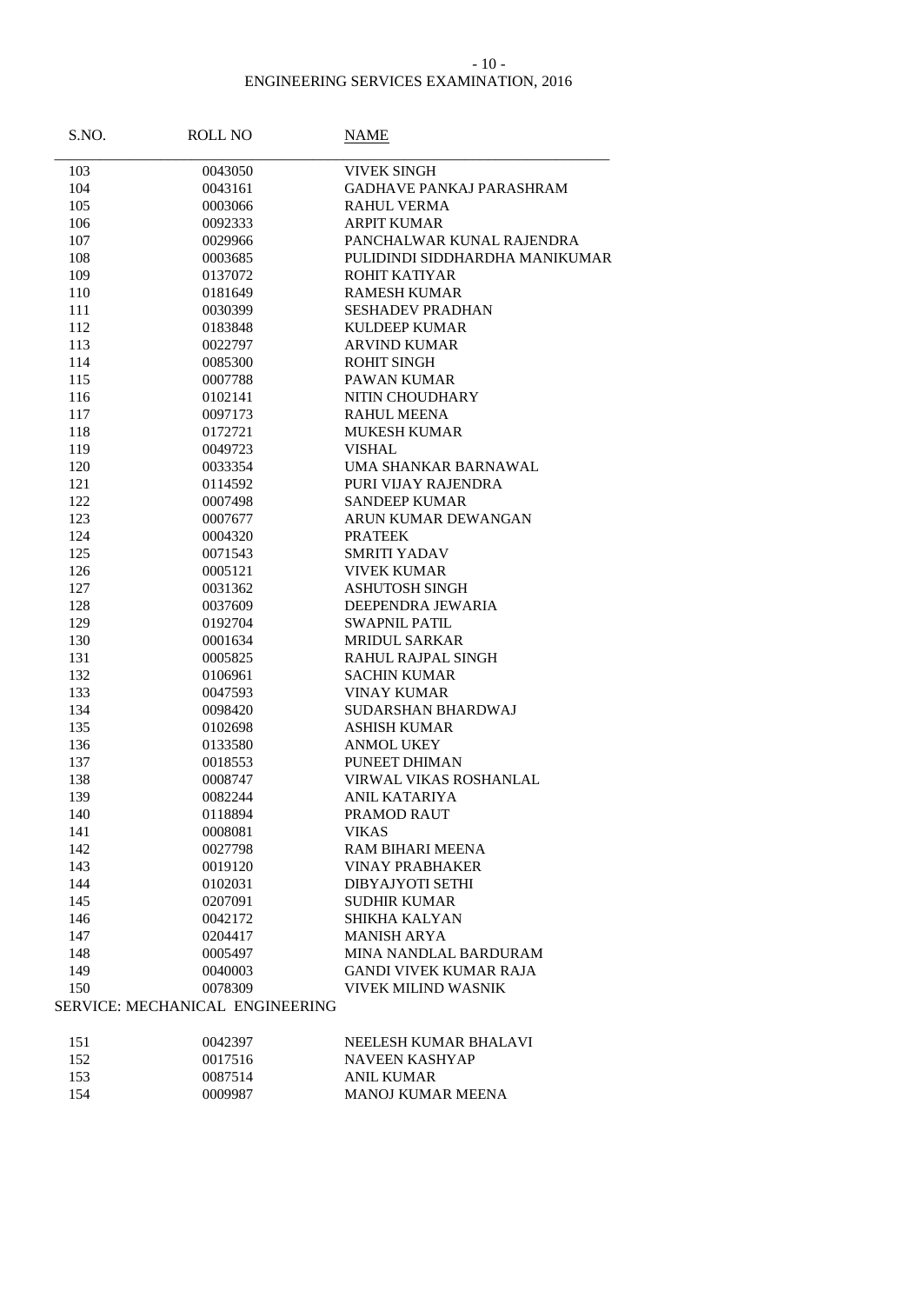#### - 10 -

| S.NO. | <b>ROLL NO</b>                  | NAME                            |
|-------|---------------------------------|---------------------------------|
| 103   | 0043050                         | <b>VIVEK SINGH</b>              |
| 104   | 0043161                         | <b>GADHAVE PANKAJ PARASHRAM</b> |
| 105   | 0003066                         | RAHUL VERMA                     |
| 106   | 0092333                         | <b>ARPIT KUMAR</b>              |
| 107   | 0029966                         | PANCHALWAR KUNAL RAJENDRA       |
| 108   | 0003685                         | PULIDINDI SIDDHARDHA MANIKUMAR  |
| 109   | 0137072                         | ROHIT KATIYAR                   |
| 110   | 0181649                         | <b>RAMESH KUMAR</b>             |
| 111   | 0030399                         | <b>SESHADEV PRADHAN</b>         |
| 112   | 0183848                         | <b>KULDEEP KUMAR</b>            |
| 113   | 0022797                         | <b>ARVIND KUMAR</b>             |
| 114   | 0085300                         | <b>ROHIT SINGH</b>              |
| 115   | 0007788                         | PAWAN KUMAR                     |
| 116   | 0102141                         | NITIN CHOUDHARY                 |
| 117   | 0097173                         | <b>RAHUL MEENA</b>              |
| 118   | 0172721                         | <b>MUKESH KUMAR</b>             |
| 119   | 0049723                         | <b>VISHAL</b>                   |
| 120   | 0033354                         | UMA SHANKAR BARNAWAL            |
| 121   | 0114592                         | PURI VIJAY RAJENDRA             |
| 122   | 0007498                         | <b>SANDEEP KUMAR</b>            |
| 123   | 0007677                         | ARUN KUMAR DEWANGAN             |
| 124   | 0004320                         | <b>PRATEEK</b>                  |
| 125   | 0071543                         | <b>SMRITI YADAV</b>             |
| 126   | 0005121                         | <b>VIVEK KUMAR</b>              |
| 127   | 0031362                         | <b>ASHUTOSH SINGH</b>           |
| 128   | 0037609                         | DEEPENDRA JEWARIA               |
| 129   | 0192704                         | <b>SWAPNIL PATIL</b>            |
| 130   | 0001634                         | <b>MRIDUL SARKAR</b>            |
| 131   | 0005825                         | <b>RAHUL RAJPAL SINGH</b>       |
| 132   | 0106961                         | <b>SACHIN KUMAR</b>             |
| 133   | 0047593                         | <b>VINAY KUMAR</b>              |
| 134   | 0098420                         | SUDARSHAN BHARDWAJ              |
| 135   | 0102698                         | <b>ASHISH KUMAR</b>             |
| 136   | 0133580                         | <b>ANMOL UKEY</b>               |
| 137   | 0018553                         | PUNEET DHIMAN                   |
| 138   | 0008747                         | VIRWAL VIKAS ROSHANLAL          |
| 139   | 0082244                         | ANIL KATARIYA                   |
| 140   | 0118894                         | PRAMOD RAUT                     |
| 141   | 0008081                         | <b>VIKAS</b>                    |
| 142   | 0027798                         | RAM BIHARI MEENA                |
| 143   | 0019120                         | <b>VINAY PRABHAKER</b>          |
| 144   | 0102031                         | DIBYAJYOTI SETHI                |
| 145   | 0207091                         | <b>SUDHIR KUMAR</b>             |
| 146   | 0042172                         | SHIKHA KALYAN                   |
| 147   | 0204417                         | <b>MANISH ARYA</b>              |
| 148   | 0005497                         | MINA NANDLAL BARDURAM           |
| 149   | 0040003                         | <b>GANDI VIVEK KUMAR RAJA</b>   |
| 150   | 0078309                         | <b>VIVEK MILIND WASNIK</b>      |
|       | SERVICE: MECHANICAL ENGINEERING |                                 |
| 151   | 0042397                         | NEELESH KUMAR BHALAVI           |
| 152   | 0017516                         | <b>NAVEEN KASHYAP</b>           |
| 153   | 0087514                         | <b>ANIL KUMAR</b>               |
| 154   | 0009987                         | MANOJ KUMAR MEENA               |
|       |                                 |                                 |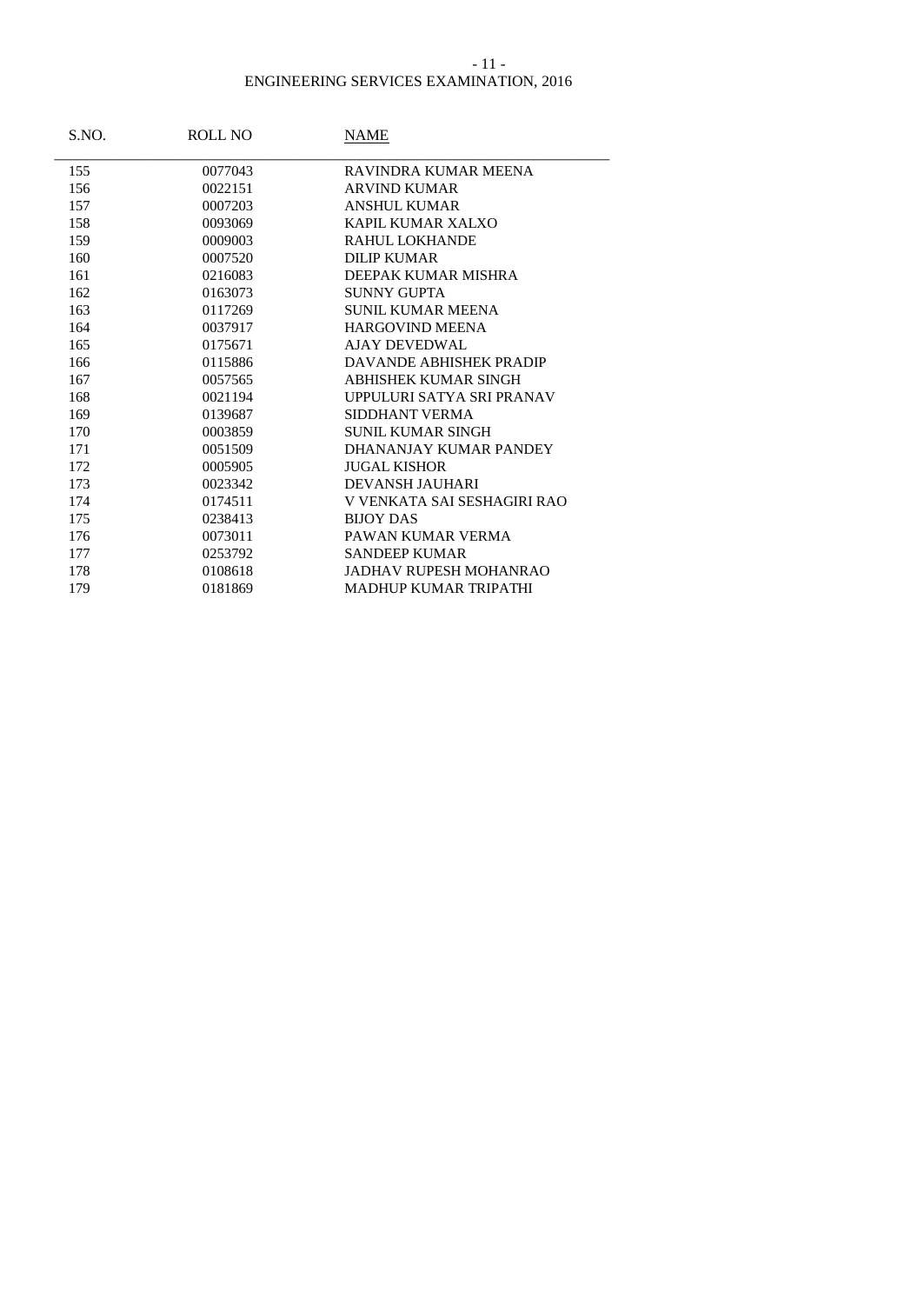### - 11 -

| S.NO. | <b>ROLL NO</b> | NAME                          |
|-------|----------------|-------------------------------|
| 155   | 0077043        | RAVINDRA KUMAR MEENA          |
| 156   | 0022151        | <b>ARVIND KUMAR</b>           |
| 157   | 0007203        | <b>ANSHUL KUMAR</b>           |
| 158   | 0093069        | KAPIL KUMAR XALXO             |
| 159   | 0009003        | RAHUL LOKHANDE                |
| 160   | 0007520        | <b>DILIP KUMAR</b>            |
| 161   | 0216083        | DEEPAK KUMAR MISHRA           |
| 162   | 0163073        | SUNNY GUPTA                   |
| 163   | 0117269        | <b>SUNIL KUMAR MEENA</b>      |
| 164   | 0037917        | <b>HARGOVIND MEENA</b>        |
| 165   | 0175671        | <b>AJAY DEVEDWAL</b>          |
| 166   | 0115886        | DAVANDE ABHISHEK PRADIP       |
| 167   | 0057565        | <b>ABHISHEK KUMAR SINGH</b>   |
| 168   | 0021194        | UPPULURI SATYA SRI PRANAV     |
| 169   | 0139687        | SIDDHANT VERMA                |
| 170   | 0003859        | <b>SUNIL KUMAR SINGH</b>      |
| 171   | 0051509        | DHANANJAY KUMAR PANDEY        |
| 172   | 0005905        | <b>JUGAL KISHOR</b>           |
| 173   | 0023342        | <b>DEVANSH JAUHARI</b>        |
| 174   | 0174511        | V VENKATA SAI SESHAGIRI RAO   |
| 175   | 0238413        | <b>BLIOY DAS</b>              |
| 176   | 0073011        | PAWAN KUMAR VERMA             |
| 177   | 0253792        | <b>SANDEEP KUMAR</b>          |
| 178   | 0108618        | <b>JADHAV RUPESH MOHANRAO</b> |
| 179   | 0181869        | <b>MADHUP KUMAR TRIPATHI</b>  |
|       |                |                               |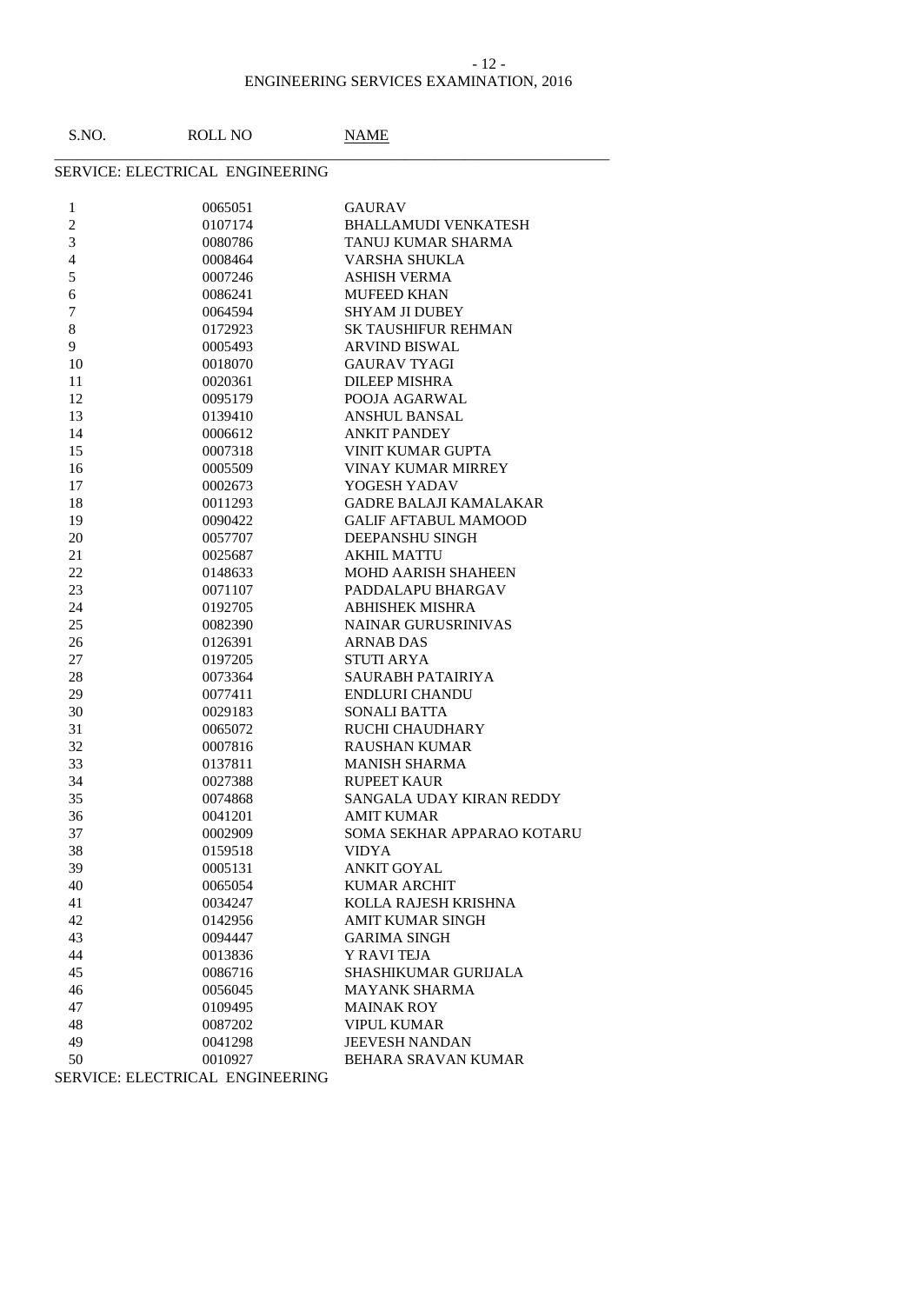### ENGINEERING SERVICES EXAMINATION, 2016 - 12 -

| S.NO.          | <b>ROLL NO</b>                  | NAME                          |
|----------------|---------------------------------|-------------------------------|
|                | SERVICE: ELECTRICAL ENGINEERING |                               |
| $\mathbf{1}$   | 0065051                         | <b>GAURAV</b>                 |
| $\overline{c}$ | 0107174                         | <b>BHALLAMUDI VENKATESH</b>   |
| 3              | 0080786                         | TANUJ KUMAR SHARMA            |
| 4              | 0008464                         | VARSHA SHUKLA                 |
| 5              | 0007246                         | <b>ASHISH VERMA</b>           |
| 6              | 0086241                         | <b>MUFEED KHAN</b>            |
| 7              | 0064594                         | SHYAM JI DUBEY                |
| $8\,$          | 0172923                         | <b>SK TAUSHIFUR REHMAN</b>    |
| 9              | 0005493                         | <b>ARVIND BISWAL</b>          |
| 10             | 0018070                         | <b>GAURAV TYAGI</b>           |
| 11             | 0020361                         | <b>DILEEP MISHRA</b>          |
| 12             | 0095179                         | POOJA AGARWAL                 |
| 13             | 0139410                         | <b>ANSHUL BANSAL</b>          |
| 14             | 0006612                         | <b>ANKIT PANDEY</b>           |
| 15             | 0007318                         | <b>VINIT KUMAR GUPTA</b>      |
| 16             | 0005509                         | <b>VINAY KUMAR MIRREY</b>     |
| 17             | 0002673                         | YOGESH YADAV                  |
| 18             | 0011293                         | <b>GADRE BALAJI KAMALAKAR</b> |
| 19             | 0090422                         | <b>GALIF AFTABUL MAMOOD</b>   |
| 20             | 0057707                         | <b>DEEPANSHU SINGH</b>        |
| 21             | 0025687                         | <b>AKHIL MATTU</b>            |
| 22             | 0148633                         | <b>MOHD AARISH SHAHEEN</b>    |
| 23             | 0071107                         | PADDALAPU BHARGAV             |
| 24             | 0192705                         | <b>ABHISHEK MISHRA</b>        |
| 25             | 0082390                         | <b>NAINAR GURUSRINIVAS</b>    |
| 26             | 0126391                         | ARNAB DAS                     |
| 27             | 0197205                         | <b>STUTI ARYA</b>             |
| 28             | 0073364                         | SAURABH PATAIRIYA             |
| 29             | 0077411                         | <b>ENDLURI CHANDU</b>         |
| 30             | 0029183                         | <b>SONALI BATTA</b>           |
| 31             | 0065072                         | RUCHI CHAUDHARY               |
| 32             | 0007816                         | <b>RAUSHAN KUMAR</b>          |
| 33             | 0137811                         | <b>MANISH SHARMA</b>          |
| 34             | 0027388                         | <b>RUPEET KAUR</b>            |
| 35             | 0074868                         | SANGALA UDAY KIRAN REDDY      |
| 36             | 0041201                         | <b>AMIT KUMAR</b>             |
| 37             | 0002909                         | SOMA SEKHAR APPARAO KOTARU    |
| 38             | 0159518                         | <b>VIDYA</b>                  |
| 39             | 0005131                         | <b>ANKIT GOYAL</b>            |
| 40             | 0065054                         | <b>KUMAR ARCHIT</b>           |
| 41             | 0034247                         | KOLLA RAJESH KRISHNA          |
| 42             | 0142956                         | <b>AMIT KUMAR SINGH</b>       |
| 43             | 0094447                         | <b>GARIMA SINGH</b>           |
| 44             | 0013836                         | Y RAVI TEJA                   |
| 45             | 0086716                         | <b>SHASHIKUMAR GURIJALA</b>   |
| 46             | 0056045                         | <b>MAYANK SHARMA</b>          |
| 47             | 0109495                         | <b>MAINAK ROY</b>             |
| 48             | 0087202                         | <b>VIPUL KUMAR</b>            |
| 49             | 0041298                         | <b>JEEVESH NANDAN</b>         |
| 50             | 0010927                         | BEHARA SRAVAN KUMAR           |
|                |                                 |                               |

SERVICE: ELECTRICAL ENGINEERING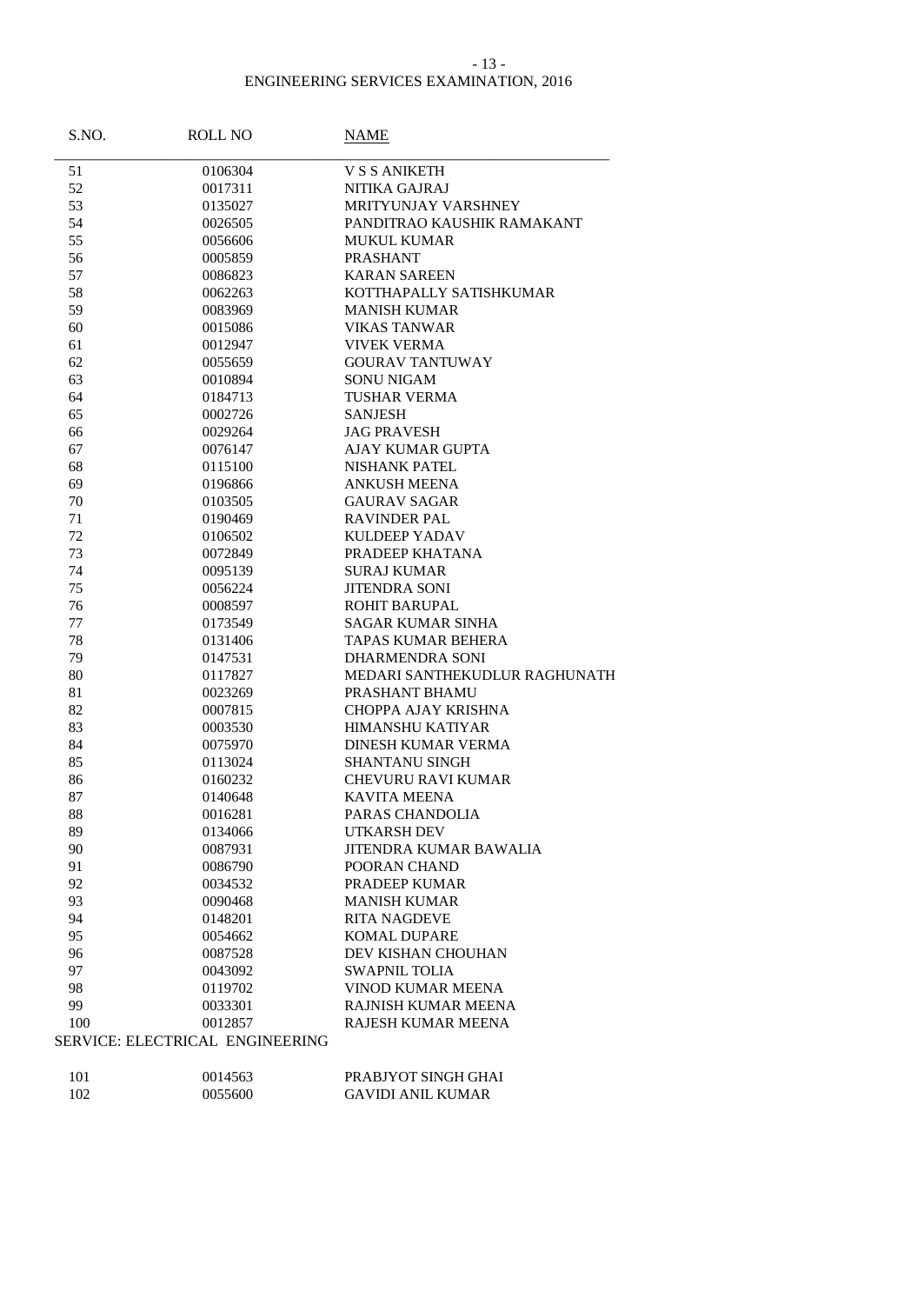### - 13 -

| S.NO. | <b>ROLL NO</b>                  | NAME                          |
|-------|---------------------------------|-------------------------------|
| 51    | 0106304                         | <b>V S S ANIKETH</b>          |
| 52    | 0017311                         | NITIKA GAJRAJ                 |
| 53    | 0135027                         | <b>MRITYUNJAY VARSHNEY</b>    |
| 54    | 0026505                         | PANDITRAO KAUSHIK RAMAKANT    |
| 55    | 0056606                         | MUKUL KUMAR                   |
| 56    | 0005859                         | <b>PRASHANT</b>               |
| 57    | 0086823                         | <b>KARAN SAREEN</b>           |
| 58    | 0062263                         | KOTTHAPALLY SATISHKUMAR       |
| 59    | 0083969                         | <b>MANISH KUMAR</b>           |
| 60    | 0015086                         | <b>VIKAS TANWAR</b>           |
| 61    | 0012947                         | <b>VIVEK VERMA</b>            |
| 62    | 0055659                         | <b>GOURAV TANTUWAY</b>        |
| 63    | 0010894                         | SONU NIGAM                    |
| 64    | 0184713                         | <b>TUSHAR VERMA</b>           |
| 65    | 0002726                         | <b>SANJESH</b>                |
| 66    | 0029264                         | <b>JAG PRAVESH</b>            |
| 67    | 0076147                         | AJAY KUMAR GUPTA              |
| 68    | 0115100                         | <b>NISHANK PATEL</b>          |
| 69    | 0196866                         | <b>ANKUSH MEENA</b>           |
| 70    | 0103505                         | <b>GAURAV SAGAR</b>           |
| 71    | 0190469                         | <b>RAVINDER PAL</b>           |
| 72    | 0106502                         | KULDEEP YADAV                 |
| 73    | 0072849                         | PRADEEP KHATANA               |
| 74    | 0095139                         | <b>SURAJ KUMAR</b>            |
| 75    | 0056224                         | <b>JITENDRA SONI</b>          |
| 76    | 0008597                         | <b>ROHIT BARUPAL</b>          |
| 77    | 0173549                         | <b>SAGAR KUMAR SINHA</b>      |
| 78    | 0131406                         | <b>TAPAS KUMAR BEHERA</b>     |
| 79    | 0147531                         | <b>DHARMENDRA SONI</b>        |
| 80    | 0117827                         | MEDARI SANTHEKUDLUR RAGHUNATH |
| 81    | 0023269                         | PRASHANT BHAMU                |
| 82    | 0007815                         | CHOPPA AJAY KRISHNA           |
| 83    | 0003530                         | <b>HIMANSHU KATIYAR</b>       |
| 84    | 0075970                         | DINESH KUMAR VERMA            |
| 85    | 0113024                         | <b>SHANTANU SINGH</b>         |
| 86    | 0160232                         | <b>CHEVURU RAVI KUMAR</b>     |
| 87    | 0140648                         | <b>KAVITA MEENA</b>           |
| 88    | 0016281                         | PARAS CHANDOLIA               |
| 89    | 0134066                         | UTKARSH DEV                   |
| 90    | 0087931                         | JITENDRA KUMAR BAWALIA        |
| 91    | 0086790                         | POORAN CHAND                  |
| 92    | 0034532                         | PRADEEP KUMAR                 |
| 93    | 0090468                         | <b>MANISH KUMAR</b>           |
| 94    | 0148201                         | <b>RITA NAGDEVE</b>           |
| 95    | 0054662                         | <b>KOMAL DUPARE</b>           |
| 96    | 0087528                         | DEV KISHAN CHOUHAN            |
| 97    | 0043092                         | <b>SWAPNIL TOLIA</b>          |
| 98    | 0119702                         | VINOD KUMAR MEENA             |
| 99    | 0033301                         | RAJNISH KUMAR MEENA           |
| 100   | 0012857                         | RAJESH KUMAR MEENA            |
|       | SERVICE: ELECTRICAL ENGINEERING |                               |
| 101   | 0014563                         | PRABJYOT SINGH GHAI           |
| 102   | 0055600                         | <b>GAVIDI ANIL KUMAR</b>      |
|       |                                 |                               |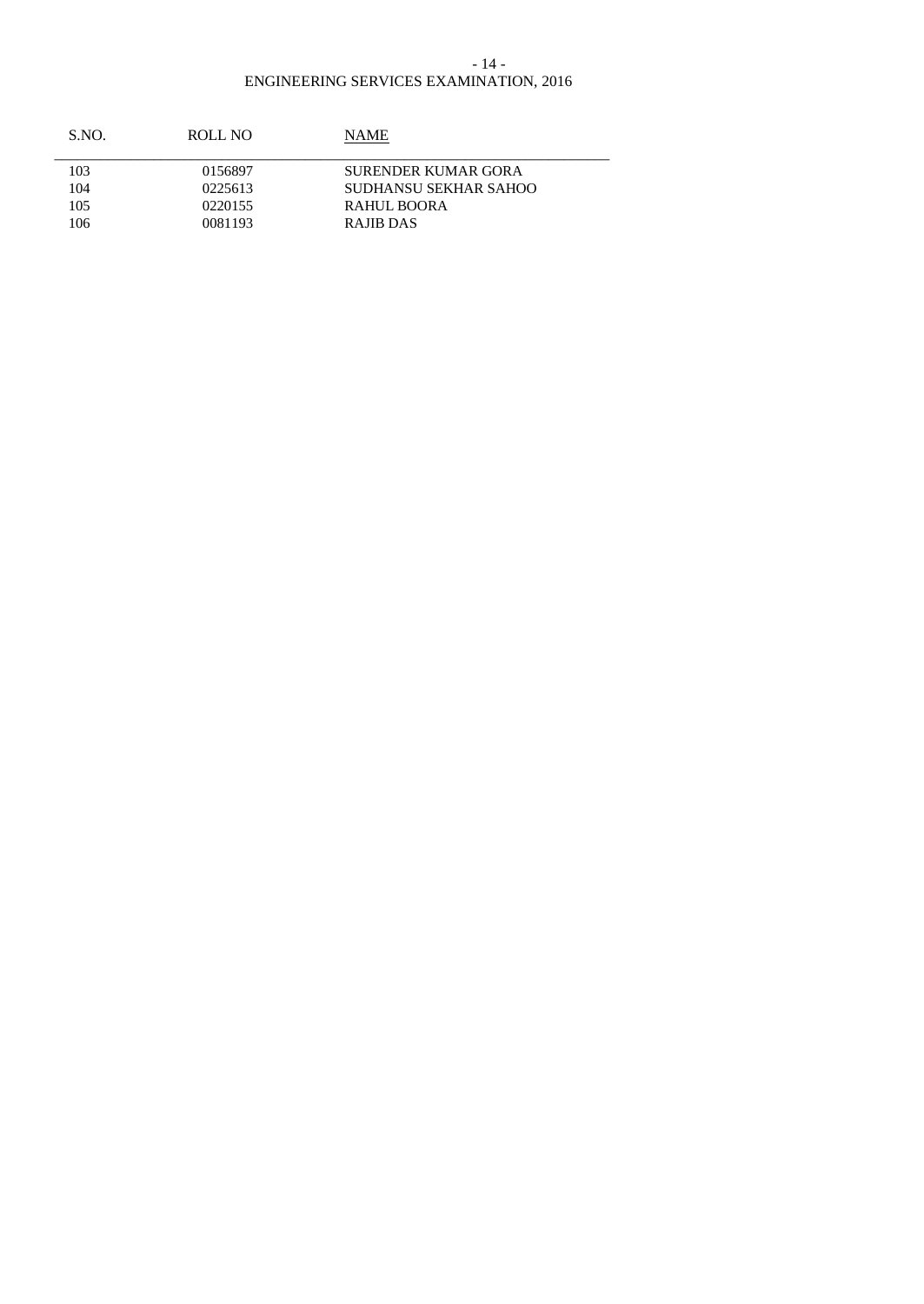### ENGINEERING SERVICES EXAMINATION, 2016 - 14 -

| S.NO. | ROLL NO | NAME.                 |  |
|-------|---------|-----------------------|--|
| 103   | 0156897 | SURENDER KUMAR GORA   |  |
| 104   | 0225613 | SUDHANSU SEKHAR SAHOO |  |
| 105   | 0220155 | <b>RAHUL BOORA</b>    |  |
| 106   | 0081193 | RAJIB DAS             |  |
|       |         |                       |  |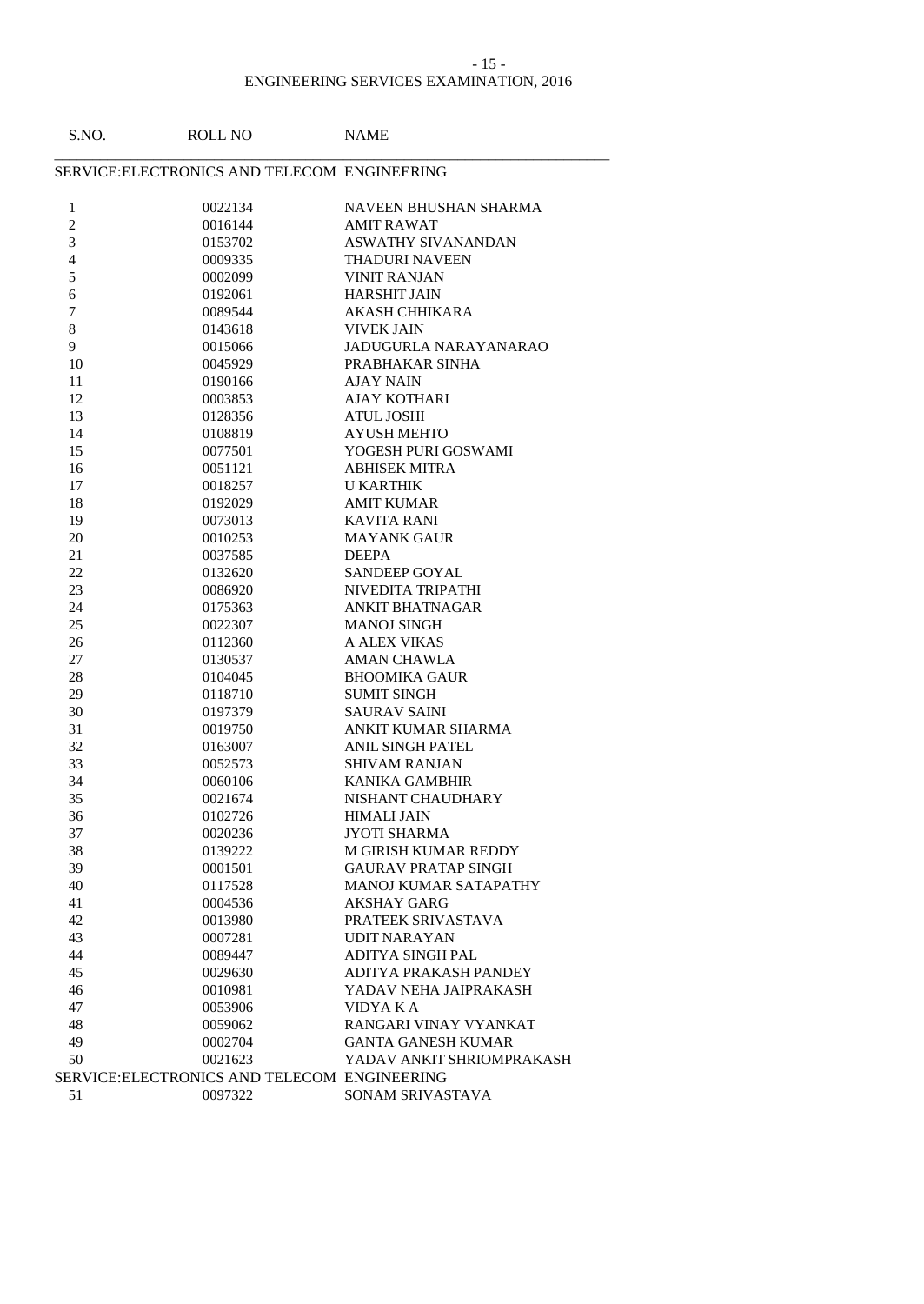#### - 15 -

| S.NO.                    | <b>ROLL NO</b>                               | <b>NAME</b>                |
|--------------------------|----------------------------------------------|----------------------------|
|                          | SERVICE: ELECTRONICS AND TELECOM ENGINEERING |                            |
| $\mathbf{1}$             | 0022134                                      | NAVEEN BHUSHAN SHARMA      |
| $\boldsymbol{2}$         | 0016144                                      | <b>AMIT RAWAT</b>          |
| 3                        | 0153702                                      | ASWATHY SIVANANDAN         |
| $\overline{\mathcal{L}}$ | 0009335                                      | <b>THADURI NAVEEN</b>      |
| $\sqrt{5}$               | 0002099                                      | <b>VINIT RANJAN</b>        |
| 6                        | 0192061                                      | <b>HARSHIT JAIN</b>        |
| 7                        | 0089544                                      | AKASH CHHIKARA             |
| $8\,$                    | 0143618                                      | <b>VIVEK JAIN</b>          |
| 9                        | 0015066                                      | JADUGURLA NARAYANARAO      |
| 10                       | 0045929                                      | PRABHAKAR SINHA            |
| 11                       | 0190166                                      | <b>AJAY NAIN</b>           |
| 12                       | 0003853                                      | AJAY KOTHARI               |
| 13                       | 0128356                                      | <b>ATUL JOSHI</b>          |
| 14                       | 0108819                                      | <b>AYUSH MEHTO</b>         |
| 15                       | 0077501                                      | YOGESH PURI GOSWAMI        |
| 16                       | 0051121                                      | <b>ABHISEK MITRA</b>       |
| 17                       | 0018257                                      | <b>U KARTHIK</b>           |
| 18                       | 0192029                                      | <b>AMIT KUMAR</b>          |
| 19                       | 0073013                                      | <b>KAVITA RANI</b>         |
| 20                       | 0010253                                      | <b>MAYANK GAUR</b>         |
| 21                       | 0037585                                      | <b>DEEPA</b>               |
| 22                       | 0132620                                      | SANDEEP GOYAL              |
| 23                       | 0086920                                      | NIVEDITA TRIPATHI          |
| 24                       | 0175363                                      | <b>ANKIT BHATNAGAR</b>     |
| 25                       | 0022307                                      | <b>MANOJ SINGH</b>         |
| 26                       | 0112360                                      | A ALEX VIKAS               |
| 27                       | 0130537                                      | <b>AMAN CHAWLA</b>         |
| 28                       | 0104045                                      | <b>BHOOMIKA GAUR</b>       |
| 29                       | 0118710                                      | <b>SUMIT SINGH</b>         |
| 30                       | 0197379                                      | <b>SAURAV SAINI</b>        |
| 31                       | 0019750                                      | ANKIT KUMAR SHARMA         |
| 32                       | 0163007                                      | ANIL SINGH PATEL           |
| 33                       | 0052573                                      | <b>SHIVAM RANJAN</b>       |
| 34                       | 0060106                                      | <b>KANIKA GAMBHIR</b>      |
| 35                       | 0021674                                      | NISHANT CHAUDHARY          |
| 36                       | 0102726                                      | <b>HIMALI JAIN</b>         |
| 37                       | 0020236                                      | <b>JYOTI SHARMA</b>        |
| 38                       | 0139222                                      | M GIRISH KUMAR REDDY       |
| 39                       | 0001501                                      | <b>GAURAV PRATAP SINGH</b> |
| 40                       | 0117528                                      | MANOJ KUMAR SATAPATHY      |
| 41                       | 0004536                                      | <b>AKSHAY GARG</b>         |
| 42                       | 0013980                                      | PRATEEK SRIVASTAVA         |
| 43                       | 0007281                                      | <b>UDIT NARAYAN</b>        |
| 44                       | 0089447                                      | ADITYA SINGH PAL           |
| 45                       | 0029630                                      | ADITYA PRAKASH PANDEY      |
| 46                       | 0010981                                      | YADAV NEHA JAIPRAKASH      |
| 47                       | 0053906                                      | VIDYA K A                  |
| 48                       | 0059062                                      | RANGARI VINAY VYANKAT      |
| 49                       | 0002704                                      | <b>GANTA GANESH KUMAR</b>  |
| 50                       | 0021623                                      | YADAV ANKIT SHRIOMPRAKASH  |
|                          | SERVICE: ELECTRONICS AND TELECOM ENGINEERING |                            |
| 51                       | 0097322                                      | SONAM SRIVASTAVA           |